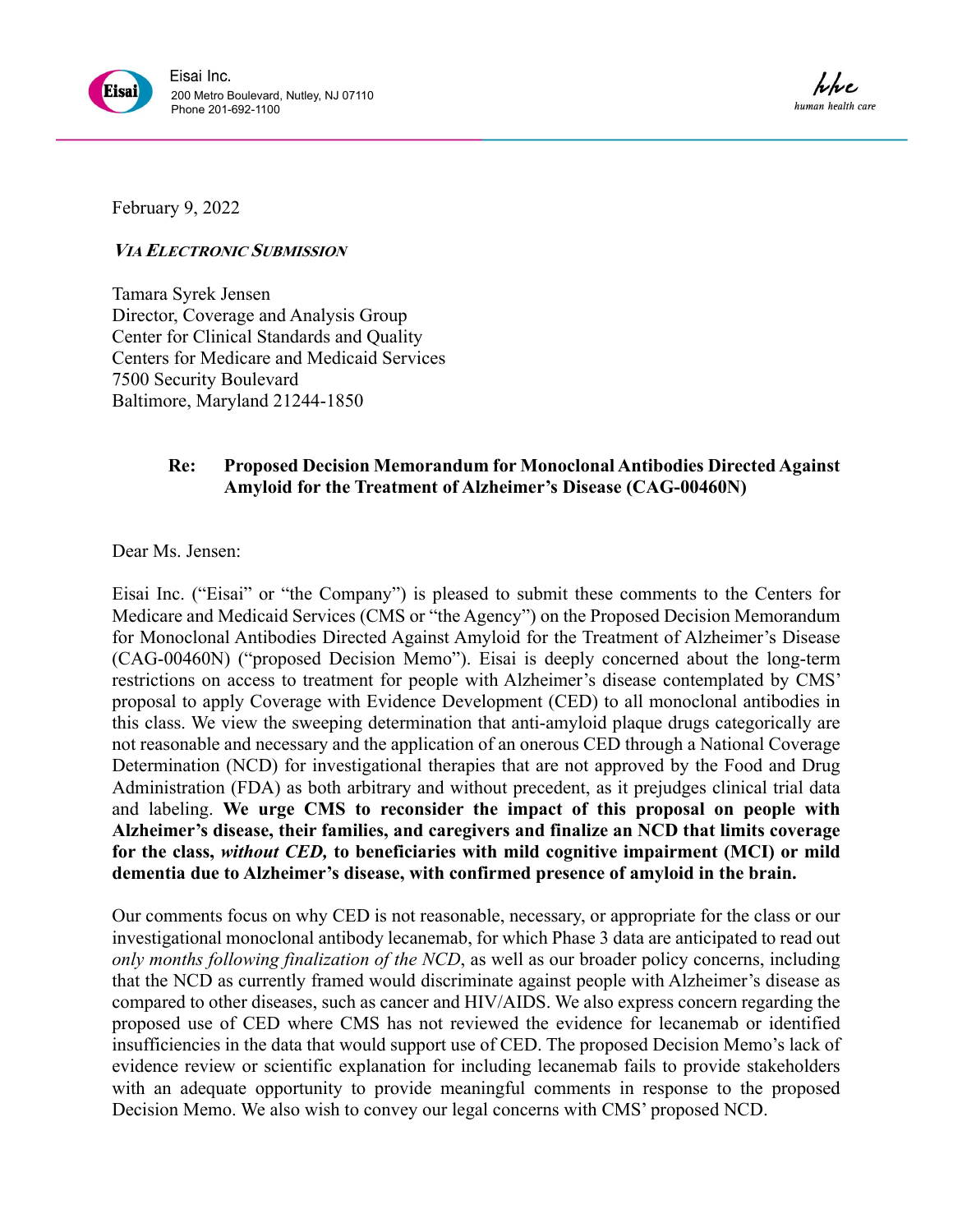

February 9, 2022

**VIA ELECTRONIC SUBMISSION** 

Tamara Syrek Jensen Director, Coverage and Analysis Group Center for Clinical Standards and Quality Centers for Medicare and Medicaid Services 7500 Security Boulevard Baltimore, Maryland 21244-1850

# **Re: Proposed Decision Memorandum for Monoclonal Antibodies Directed Against Amyloid for the Treatment of Alzheimer's Disease (CAG-00460N)**

Dear Ms. Jensen:

Eisai Inc. ("Eisai" or "the Company") is pleased to submit these comments to the Centers for Medicare and Medicaid Services (CMS or "the Agency") on the Proposed Decision Memorandum for Monoclonal Antibodies Directed Against Amyloid for the Treatment of Alzheimer's Disease (CAG-00460N) ("proposed Decision Memo"). Eisai is deeply concerned about the long-term restrictions on access to treatment for people with Alzheimer's disease contemplated by CMS' proposal to apply Coverage with Evidence Development (CED) to all monoclonal antibodies in this class. We view the sweeping determination that anti-amyloid plaque drugs categorically are not reasonable and necessary and the application of an onerous CED through a National Coverage Determination (NCD) for investigational therapies that are not approved by the Food and Drug Administration (FDA) as both arbitrary and without precedent, as it prejudges clinical trial data and labeling. **We urge CMS to reconsider the impact of this proposal on people with Alzheimer's disease, their families, and caregivers and finalize an NCD that limits coverage for the class,** *without CED,* **to beneficiaries with mild cognitive impairment (MCI) or mild dementia due to Alzheimer's disease, with confirmed presence of amyloid in the brain.**

Our comments focus on why CED is not reasonable, necessary, or appropriate for the class or our investigational monoclonal antibody lecanemab, for which Phase 3 data are anticipated to read out *only months following finalization of the NCD*, as well as our broader policy concerns, including that the NCD as currently framed would discriminate against people with Alzheimer's disease as compared to other diseases, such as cancer and HIV/AIDS. We also express concern regarding the proposed use of CED where CMS has not reviewed the evidence for lecanemab or identified insufficiencies in the data that would support use of CED. The proposed Decision Memo's lack of evidence review or scientific explanation for including lecanemab fails to provide stakeholders with an adequate opportunity to provide meaningful comments in response to the proposed Decision Memo. We also wish to convey our legal concerns with CMS' proposed NCD.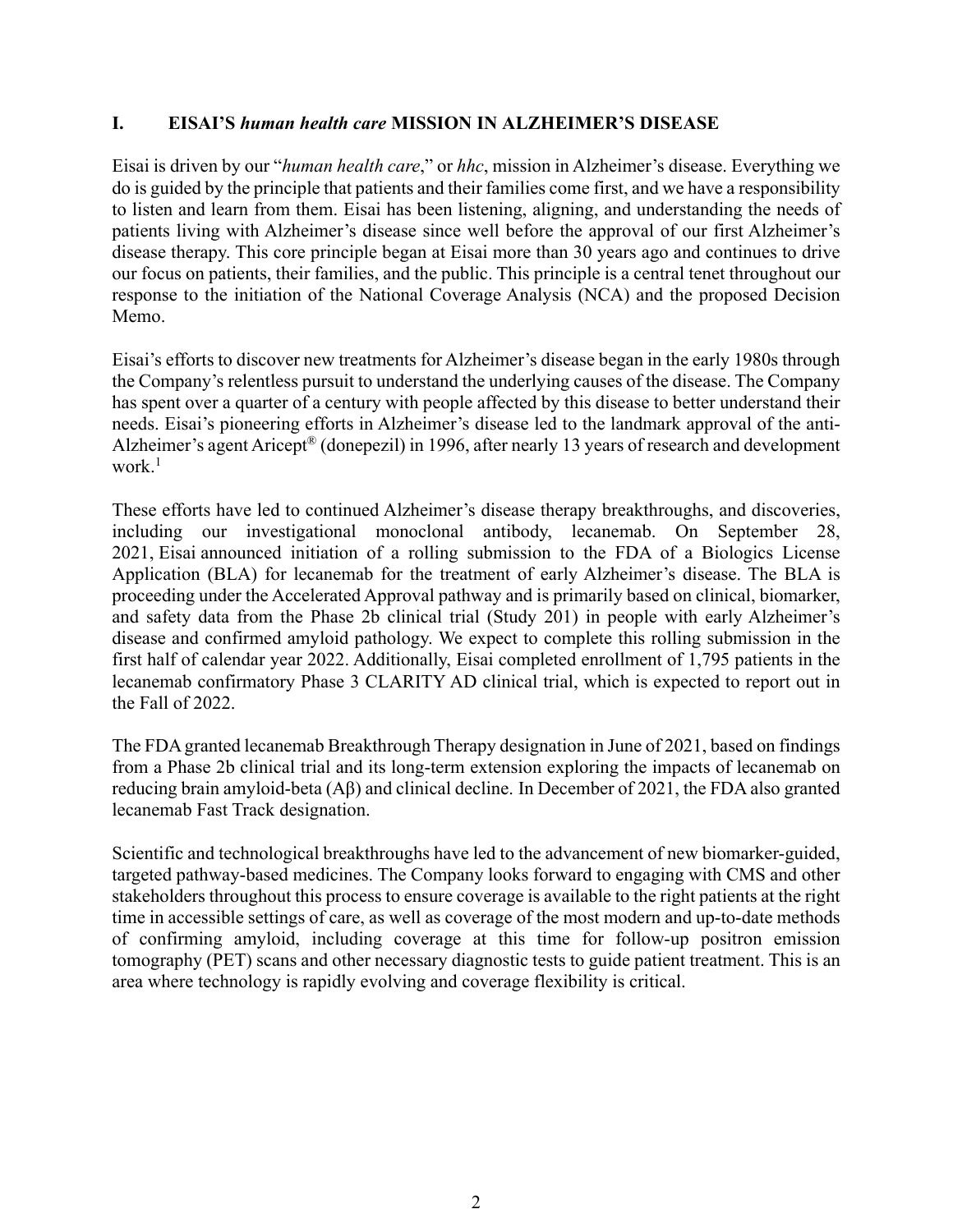#### **I. EISAI'S** *human health care* **MISSION IN ALZHEIMER'S DISEASE**

Eisai is driven by our "*human health care*," or *hhc*, mission in Alzheimer's disease. Everything we do is guided by the principle that patients and their families come first, and we have a responsibility to listen and learn from them. Eisai has been listening, aligning, and understanding the needs of patients living with Alzheimer's disease since well before the approval of our first Alzheimer's disease therapy. This core principle began at Eisai more than 30 years ago and continues to drive our focus on patients, their families, and the public. This principle is a central tenet throughout our response to the initiation of the National Coverage Analysis (NCA) and the proposed Decision Memo.

Eisai's efforts to discover new treatments for Alzheimer's disease began in the early 1980s through the Company's relentless pursuit to understand the underlying causes of the disease. The Company has spent over a quarter of a century with people affected by this disease to better understand their needs. Eisai's pioneering efforts in Alzheimer's disease led to the landmark approval of the anti-Alzheimer's agent Aricept® (donepezil) in 1996, after nearly 13 years of research and development work. $^{\rm l}$ 

These efforts have led to continued Alzheimer's disease therapy breakthroughs, and discoveries, including our investigational monoclonal antibody, lecanemab. On September 28, 2021, Eisai announced initiation of a rolling submission to the FDA of a Biologics License Application (BLA) for lecanemab for the treatment of early Alzheimer's disease. The BLA is proceeding under the Accelerated Approval pathway and is primarily based on clinical, biomarker, and safety data from the Phase 2b clinical trial (Study 201) in people with early Alzheimer's disease and confirmed amyloid pathology. We expect to complete this rolling submission in the first half of calendar year 2022. Additionally, Eisai completed enrollment of 1,795 patients in the lecanemab confirmatory Phase 3 CLARITY AD clinical trial, which is expected to report out in the Fall of 2022.

The FDA granted lecanemab Breakthrough Therapy designation in June of 2021, based on findings from a Phase 2b clinical trial and its long-term extension exploring the impacts of lecanemab on reducing brain amyloid-beta (Aβ) and clinical decline. In December of 2021, the FDA also granted lecanemab Fast Track designation.

Scientific and technological breakthroughs have led to the advancement of new biomarker-guided, targeted pathway-based medicines. The Company looks forward to engaging with CMS and other stakeholders throughout this process to ensure coverage is available to the right patients at the right time in accessible settings of care, as well as coverage of the most modern and up-to-date methods of confirming amyloid, including coverage at this time for follow-up positron emission tomography (PET) scans and other necessary diagnostic tests to guide patient treatment. This is an area where technology is rapidly evolving and coverage flexibility is critical.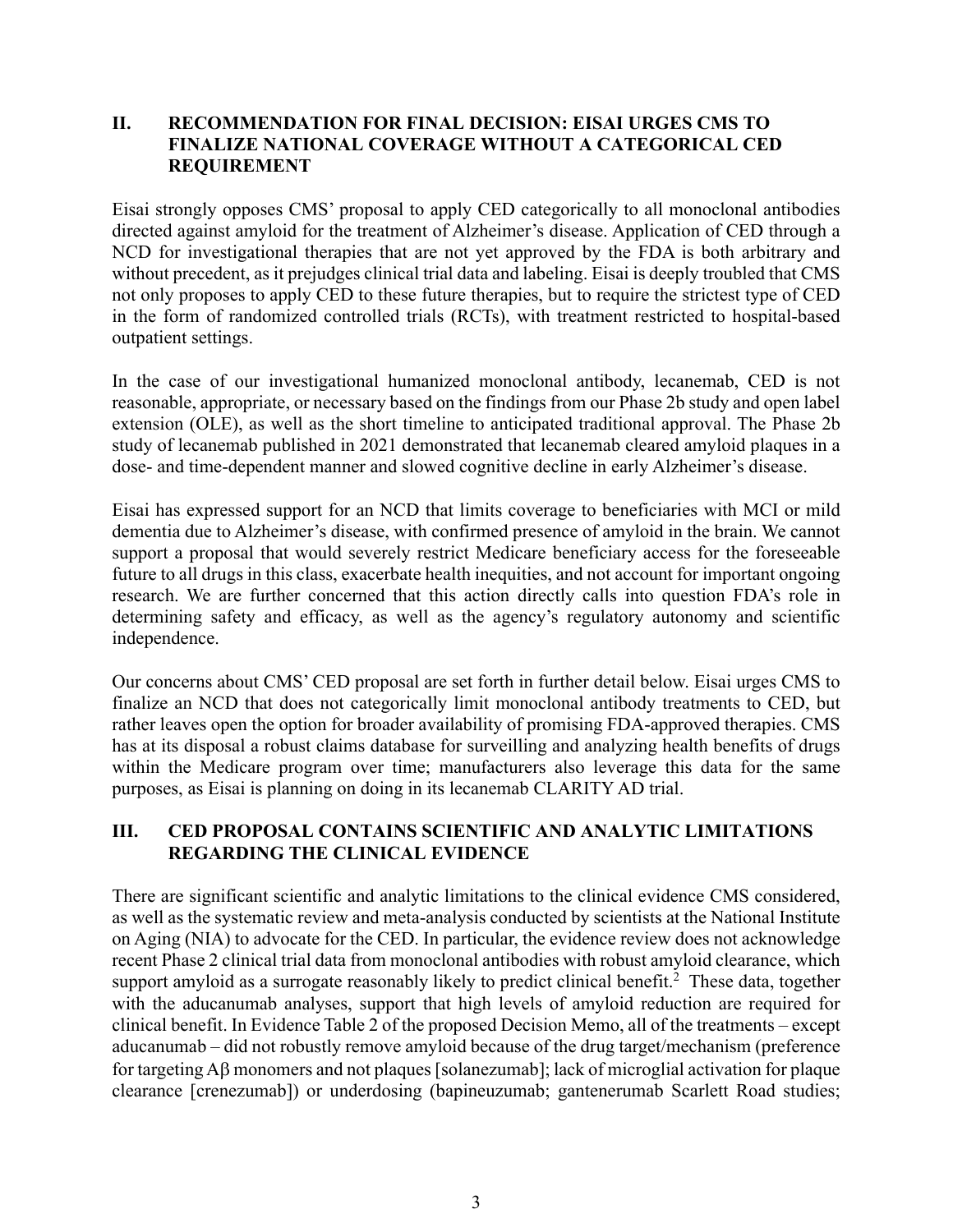#### **II. RECOMMENDATION FOR FINAL DECISION: EISAI URGES CMS TO FINALIZE NATIONAL COVERAGE WITHOUT A CATEGORICAL CED REQUIREMENT**

Eisai strongly opposes CMS' proposal to apply CED categorically to all monoclonal antibodies directed against amyloid for the treatment of Alzheimer's disease. Application of CED through a NCD for investigational therapies that are not yet approved by the FDA is both arbitrary and without precedent, as it prejudges clinical trial data and labeling. Eisai is deeply troubled that CMS not only proposes to apply CED to these future therapies, but to require the strictest type of CED in the form of randomized controlled trials (RCTs), with treatment restricted to hospital-based outpatient settings.

In the case of our investigational humanized monoclonal antibody, lecanemab, CED is not reasonable, appropriate, or necessary based on the findings from our Phase 2b study and open label extension (OLE), as well as the short timeline to anticipated traditional approval. The Phase 2b study of lecanemab published in 2021 demonstrated that lecanemab cleared amyloid plaques in a dose- and time-dependent manner and slowed cognitive decline in early Alzheimer's disease.

Eisai has expressed support for an NCD that limits coverage to beneficiaries with MCI or mild dementia due to Alzheimer's disease, with confirmed presence of amyloid in the brain. We cannot support a proposal that would severely restrict Medicare beneficiary access for the foreseeable future to all drugs in this class, exacerbate health inequities, and not account for important ongoing research. We are further concerned that this action directly calls into question FDA's role in determining safety and efficacy, as well as the agency's regulatory autonomy and scientific independence.

Our concerns about CMS' CED proposal are set forth in further detail below. Eisai urges CMS to finalize an NCD that does not categorically limit monoclonal antibody treatments to CED, but rather leaves open the option for broader availability of promising FDA-approved therapies. CMS has at its disposal a robust claims database for surveilling and analyzing health benefits of drugs within the Medicare program over time; manufacturers also leverage this data for the same purposes, as Eisai is planning on doing in its lecanemab CLARITY AD trial.

# **III. CED PROPOSAL CONTAINS SCIENTIFIC AND ANALYTIC LIMITATIONS REGARDING THE CLINICAL EVIDENCE**

There are significant scientific and analytic limitations to the clinical evidence CMS considered, as well as the systematic review and meta-analysis conducted by scientists at the National Institute on Aging (NIA) to advocate for the CED. In particular, the evidence review does not acknowledge recent Phase 2 clinical trial data from monoclonal antibodies with robust amyloid clearance, which support amyloid as a surrogate reasonably likely to predict clinical benefit.<sup>2</sup> These data, together with the aducanumab analyses, support that high levels of amyloid reduction are required for clinical benefit. In Evidence Table 2 of the proposed Decision Memo, all of the treatments – except aducanumab – did not robustly remove amyloid because of the drug target/mechanism (preference for targeting  $\Lambda\beta$  monomers and not plaques [solanezumab]; lack of microglial activation for plaque clearance [crenezumab]) or underdosing (bapineuzumab; gantenerumab Scarlett Road studies;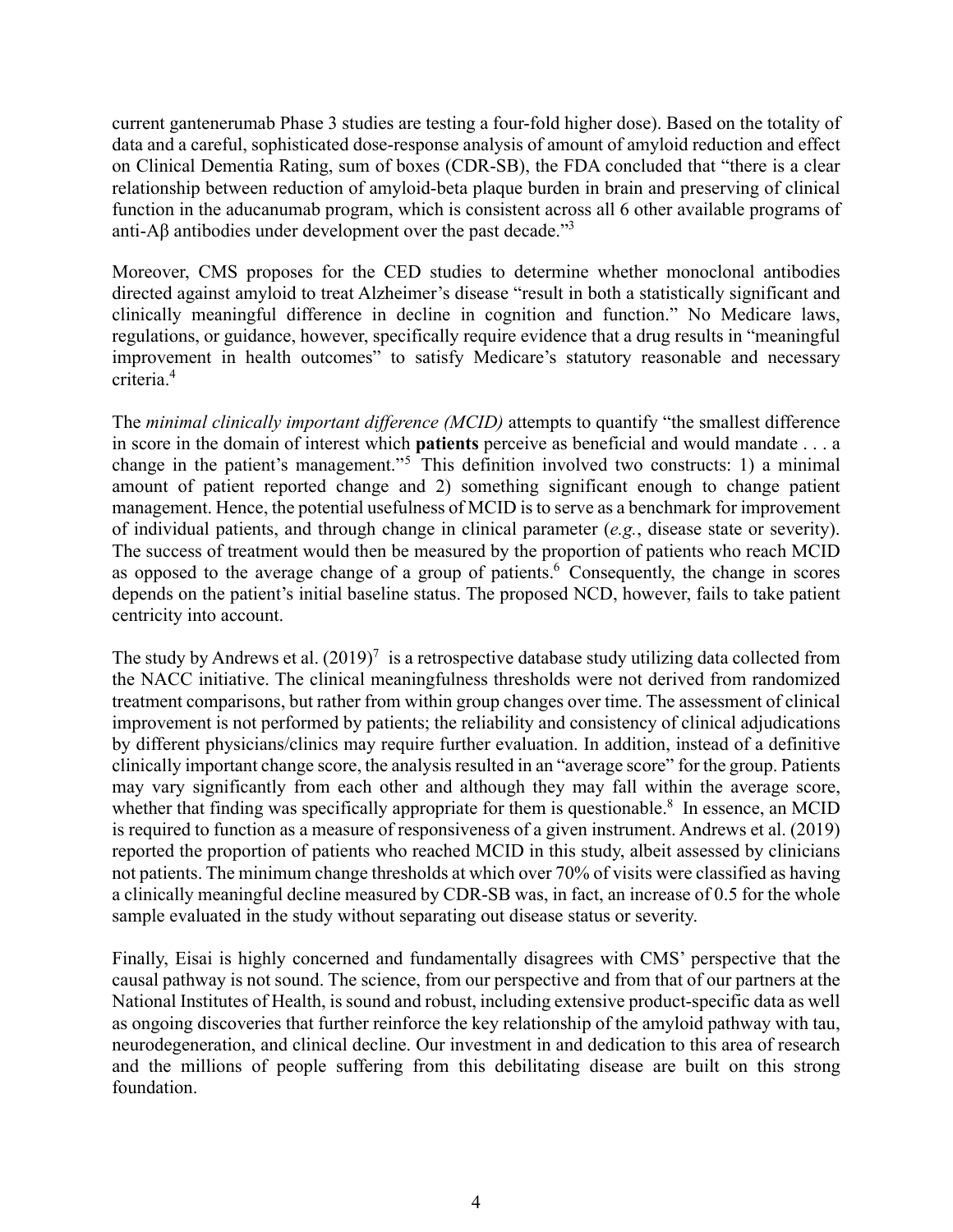current gantenerumab Phase 3 studies are testing a four-fold higher dose). Based on the totality of data and a careful, sophisticated dose-response analysis of amount of amyloid reduction and effect on Clinical Dementia Rating, sum of boxes (CDR-SB), the FDA concluded that "there is a clear relationship between reduction of amyloid-beta plaque burden in brain and preserving of clinical function in the aducanumab program, which is consistent across all 6 other available programs of anti-A $\beta$  antibodies under development over the past decade."<sup>3</sup>

Moreover, CMS proposes for the CED studies to determine whether monoclonal antibodies directed against amyloid to treat Alzheimer's disease "result in both a statistically significant and clinically meaningful difference in decline in cognition and function." No Medicare laws, regulations, or guidance, however, specifically require evidence that a drug results in "meaningful improvement in health outcomes" to satisfy Medicare's statutory reasonable and necessary criteria.4

The *minimal clinically important difference (MCID)* attempts to quantify "the smallest difference in score in the domain of interest which **patients** perceive as beneficial and would mandate . . . a change in the patient's management."<sup>5</sup> This definition involved two constructs: 1) a minimal amount of patient reported change and 2) something significant enough to change patient management. Hence, the potential usefulness of MCID is to serve as a benchmark for improvement of individual patients, and through change in clinical parameter (*e.g.*, disease state or severity). The success of treatment would then be measured by the proportion of patients who reach MCID as opposed to the average change of a group of patients. Consequently, the change in scores depends on the patient's initial baseline status. The proposed NCD, however, fails to take patient centricity into account.

The study by Andrews et al.  $(2019)^7$  is a retrospective database study utilizing data collected from the NACC initiative. The clinical meaningfulness thresholds were not derived from randomized treatment comparisons, but rather from within group changes over time. The assessment of clinical improvement is not performed by patients; the reliability and consistency of clinical adjudications by different physicians/clinics may require further evaluation. In addition, instead of a definitive clinically important change score, the analysis resulted in an "average score" for the group. Patients may vary significantly from each other and although they may fall within the average score, whether that finding was specifically appropriate for them is questionable. $8\,$  In essence, an MCID is required to function as a measure of responsiveness of a given instrument. Andrews et al. (2019) reported the proportion of patients who reached MCID in this study, albeit assessed by clinicians not patients. The minimum change thresholds at which over 70% of visits were classified as having a clinically meaningful decline measured by CDR-SB was, in fact, an increase of 0.5 for the whole sample evaluated in the study without separating out disease status or severity.

Finally, Eisai is highly concerned and fundamentally disagrees with CMS' perspective that the causal pathway is not sound. The science, from our perspective and from that of our partners at the National Institutes of Health, is sound and robust, including extensive product-specific data as well as ongoing discoveries that further reinforce the key relationship of the amyloid pathway with tau, neurodegeneration, and clinical decline. Our investment in and dedication to this area of research and the millions of people suffering from this debilitating disease are built on this strong foundation.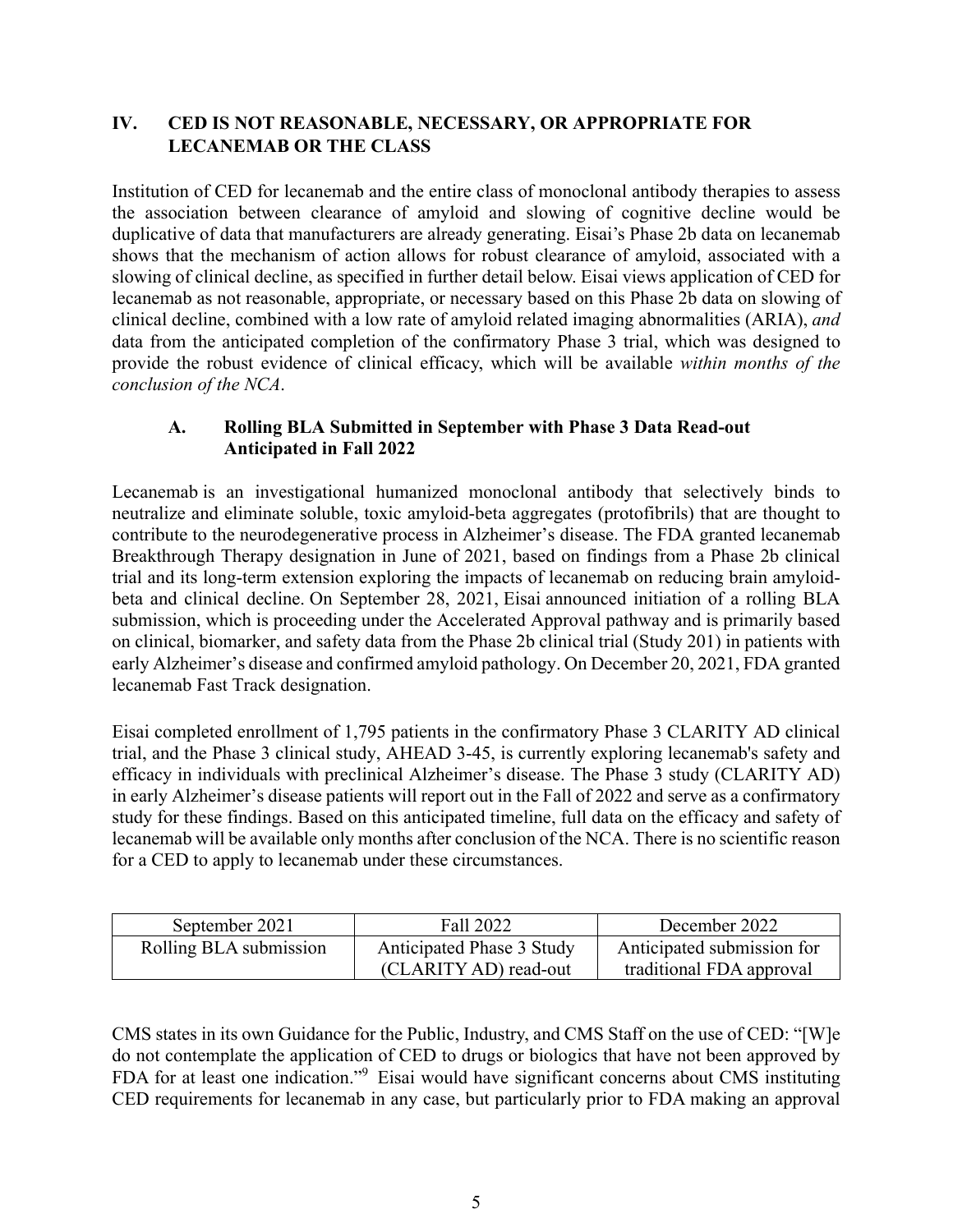# **IV. CED IS NOT REASONABLE, NECESSARY, OR APPROPRIATE FOR LECANEMAB OR THE CLASS**

Institution of CED for lecanemab and the entire class of monoclonal antibody therapies to assess the association between clearance of amyloid and slowing of cognitive decline would be duplicative of data that manufacturers are already generating. Eisai's Phase 2b data on lecanemab shows that the mechanism of action allows for robust clearance of amyloid, associated with a slowing of clinical decline, as specified in further detail below. Eisai views application of CED for lecanemab as not reasonable, appropriate, or necessary based on this Phase 2b data on slowing of clinical decline, combined with a low rate of amyloid related imaging abnormalities (ARIA), *and* data from the anticipated completion of the confirmatory Phase 3 trial, which was designed to provide the robust evidence of clinical efficacy, which will be available *within months of the conclusion of the NCA*.

# **A. Rolling BLA Submitted in September with Phase 3 Data Read-out Anticipated in Fall 2022**

Lecanemab is an investigational humanized monoclonal antibody that selectively binds to neutralize and eliminate soluble, toxic amyloid-beta aggregates (protofibrils) that are thought to contribute to the neurodegenerative process in Alzheimer's disease. The FDA granted lecanemab Breakthrough Therapy designation in June of 2021, based on findings from a Phase 2b clinical trial and its long-term extension exploring the impacts of lecanemab on reducing brain amyloidbeta and clinical decline. On September 28, 2021, Eisai announced initiation of a rolling BLA submission, which is proceeding under the Accelerated Approval pathway and is primarily based on clinical, biomarker, and safety data from the Phase 2b clinical trial (Study 201) in patients with early Alzheimer's disease and confirmed amyloid pathology. On December 20, 2021, FDA granted lecanemab Fast Track designation.

Eisai completed enrollment of 1,795 patients in the confirmatory Phase 3 CLARITY AD clinical trial, and the Phase 3 clinical study, AHEAD 3-45, is currently exploring lecanemab's safety and efficacy in individuals with preclinical Alzheimer's disease. The Phase 3 study (CLARITY AD) in early Alzheimer's disease patients will report out in the Fall of 2022 and serve as a confirmatory study for these findings. Based on this anticipated timeline, full data on the efficacy and safety of lecanemab will be available only months after conclusion of the NCA. There is no scientific reason for a CED to apply to lecanemab under these circumstances.

| September 2021         | Fall 2022                 | December 2022              |
|------------------------|---------------------------|----------------------------|
| Rolling BLA submission | Anticipated Phase 3 Study | Anticipated submission for |
|                        | (CLARITY AD) read-out     | traditional FDA approval   |

CMS states in its own Guidance for the Public, Industry, and CMS Staff on the use of CED: "[W]e do not contemplate the application of CED to drugs or biologics that have not been approved by FDA for at least one indication."<sup>9</sup> Eisai would have significant concerns about CMS instituting CED requirements for lecanemab in any case, but particularly prior to FDA making an approval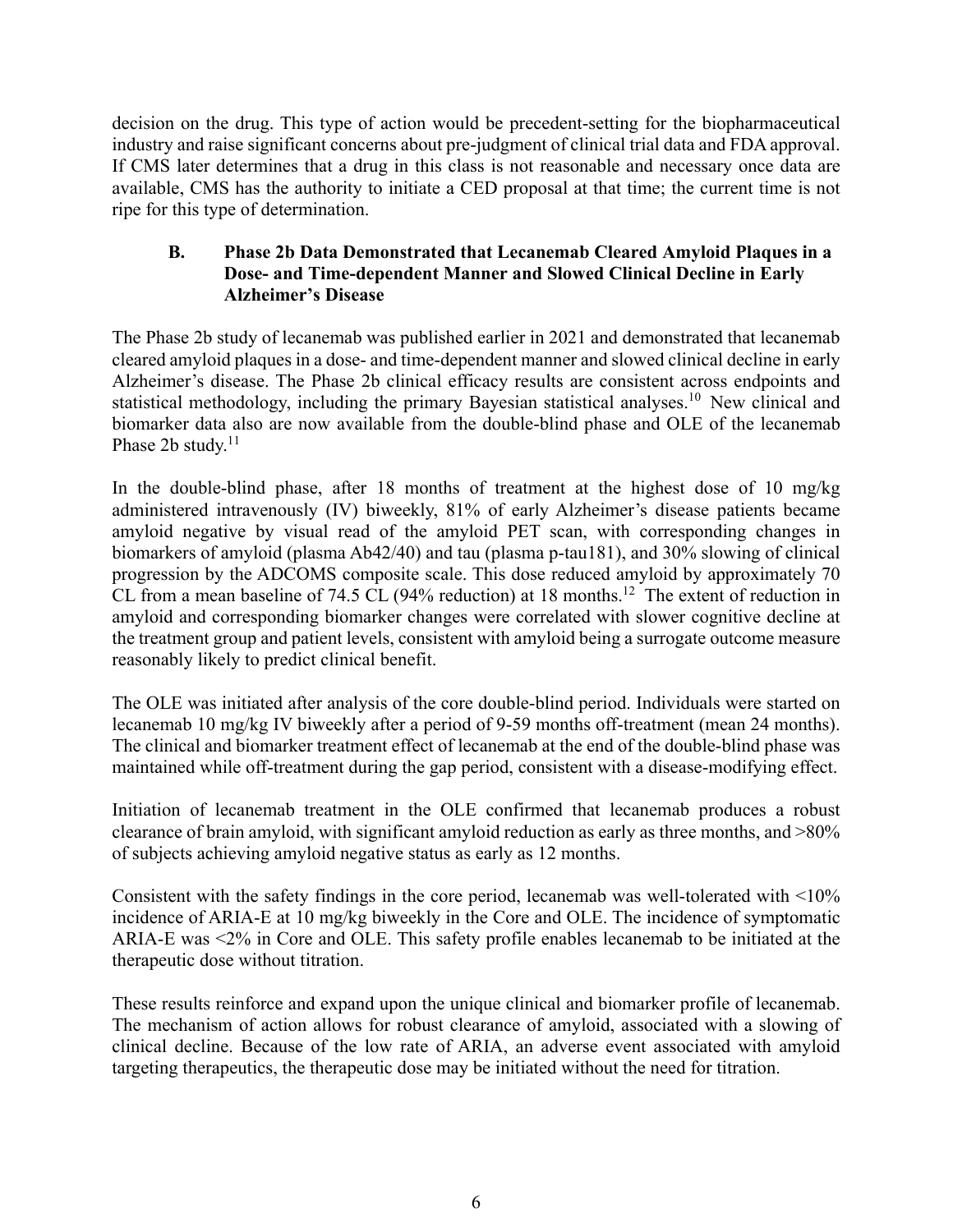decision on the drug. This type of action would be precedent-setting for the biopharmaceutical industry and raise significant concerns about pre-judgment of clinical trial data and FDA approval. If CMS later determines that a drug in this class is not reasonable and necessary once data are available, CMS has the authority to initiate a CED proposal at that time; the current time is not ripe for this type of determination.

# **B. Phase 2b Data Demonstrated that Lecanemab Cleared Amyloid Plaques in a Dose- and Time-dependent Manner and Slowed Clinical Decline in Early Alzheimer's Disease**

The Phase 2b study of lecanemab was published earlier in 2021 and demonstrated that lecanemab cleared amyloid plaques in a dose- and time-dependent manner and slowed clinical decline in early Alzheimer's disease. The Phase 2b clinical efficacy results are consistent across endpoints and statistical methodology, including the primary Bayesian statistical analyses.<sup>10</sup> New clinical and biomarker data also are now available from the double-blind phase and OLE of the lecanemab Phase 2b study. $11$ 

In the double-blind phase, after 18 months of treatment at the highest dose of 10 mg/kg administered intravenously (IV) biweekly, 81% of early Alzheimer's disease patients became amyloid negative by visual read of the amyloid PET scan, with corresponding changes in biomarkers of amyloid (plasma Ab42/40) and tau (plasma p-tau181), and 30% slowing of clinical progression by the ADCOMS composite scale. This dose reduced amyloid by approximately 70 CL from a mean baseline of 74.5 CL (94% reduction) at 18 months.<sup>12</sup> The extent of reduction in amyloid and corresponding biomarker changes were correlated with slower cognitive decline at the treatment group and patient levels, consistent with amyloid being a surrogate outcome measure reasonably likely to predict clinical benefit.

The OLE was initiated after analysis of the core double-blind period. Individuals were started on lecanemab 10 mg/kg IV biweekly after a period of 9-59 months off-treatment (mean 24 months). The clinical and biomarker treatment effect of lecanemab at the end of the double-blind phase was maintained while off-treatment during the gap period, consistent with a disease-modifying effect.

Initiation of lecanemab treatment in the OLE confirmed that lecanemab produces a robust clearance of brain amyloid, with significant amyloid reduction as early as three months, and >80% of subjects achieving amyloid negative status as early as 12 months.

Consistent with the safety findings in the core period, lecanemab was well-tolerated with <10% incidence of ARIA-E at 10 mg/kg biweekly in the Core and OLE. The incidence of symptomatic ARIA-E was <2% in Core and OLE. This safety profile enables lecanemab to be initiated at the therapeutic dose without titration.

These results reinforce and expand upon the unique clinical and biomarker profile of lecanemab. The mechanism of action allows for robust clearance of amyloid, associated with a slowing of clinical decline. Because of the low rate of ARIA, an adverse event associated with amyloid targeting therapeutics, the therapeutic dose may be initiated without the need for titration.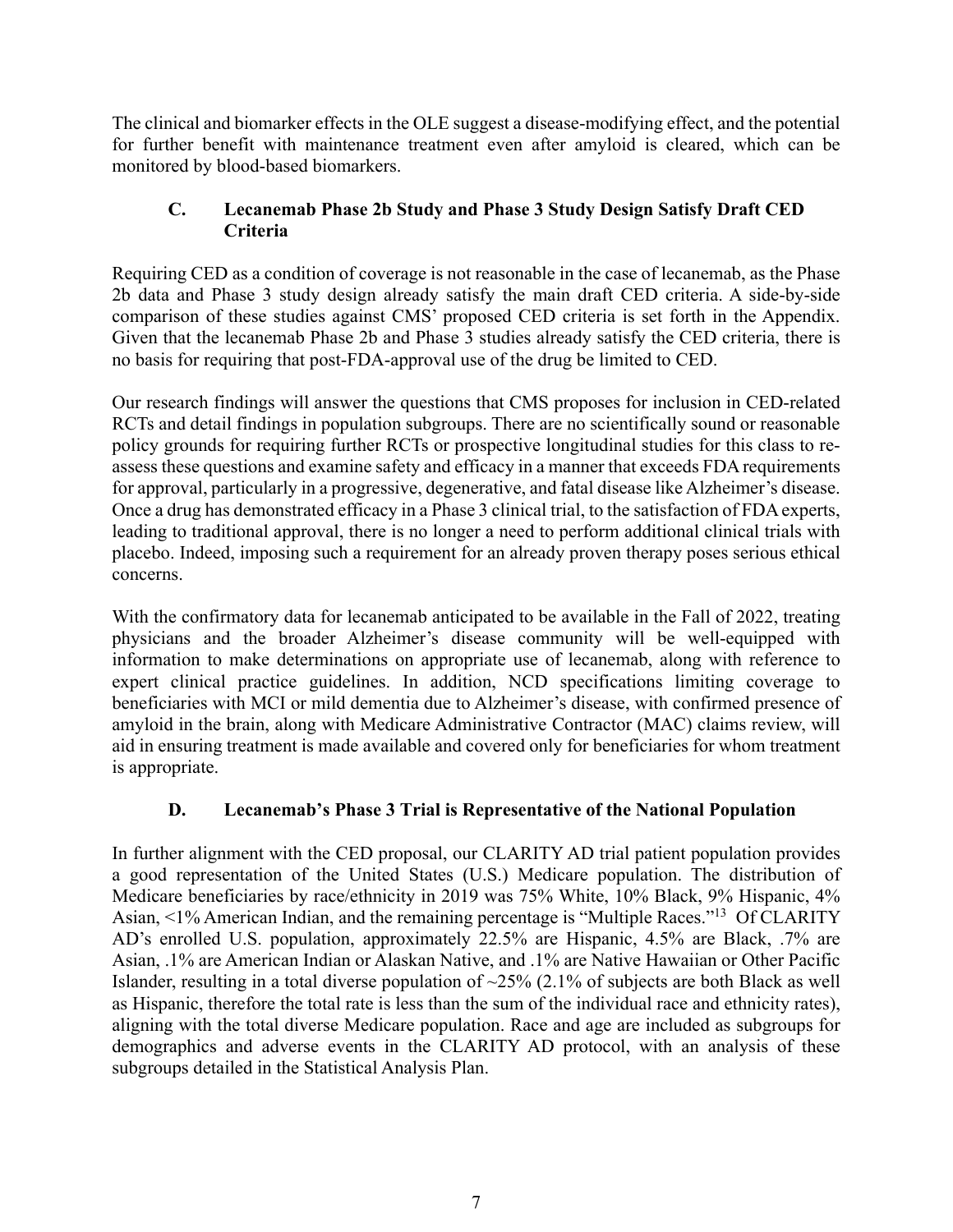The clinical and biomarker effects in the OLE suggest a disease-modifying effect, and the potential for further benefit with maintenance treatment even after amyloid is cleared, which can be monitored by blood-based biomarkers.

# **C. Lecanemab Phase 2b Study and Phase 3 Study Design Satisfy Draft CED Criteria**

Requiring CED as a condition of coverage is not reasonable in the case of lecanemab, as the Phase 2b data and Phase 3 study design already satisfy the main draft CED criteria. A side-by-side comparison of these studies against CMS' proposed CED criteria is set forth in the Appendix. Given that the lecanemab Phase 2b and Phase 3 studies already satisfy the CED criteria, there is no basis for requiring that post-FDA-approval use of the drug be limited to CED.

Our research findings will answer the questions that CMS proposes for inclusion in CED-related RCTs and detail findings in population subgroups. There are no scientifically sound or reasonable policy grounds for requiring further RCTs or prospective longitudinal studies for this class to reassess these questions and examine safety and efficacy in a manner that exceeds FDA requirements for approval, particularly in a progressive, degenerative, and fatal disease like Alzheimer's disease. Once a drug has demonstrated efficacy in a Phase 3 clinical trial, to the satisfaction of FDA experts, leading to traditional approval, there is no longer a need to perform additional clinical trials with placebo. Indeed, imposing such a requirement for an already proven therapy poses serious ethical concerns.

With the confirmatory data for lecanemab anticipated to be available in the Fall of 2022, treating physicians and the broader Alzheimer's disease community will be well-equipped with information to make determinations on appropriate use of lecanemab, along with reference to expert clinical practice guidelines. In addition, NCD specifications limiting coverage to beneficiaries with MCI or mild dementia due to Alzheimer's disease, with confirmed presence of amyloid in the brain, along with Medicare Administrative Contractor (MAC) claims review, will aid in ensuring treatment is made available and covered only for beneficiaries for whom treatment is appropriate.

# **D. Lecanemab's Phase 3 Trial is Representative of the National Population**

In further alignment with the CED proposal, our CLARITY AD trial patient population provides a good representation of the United States (U.S.) Medicare population. The distribution of Medicare beneficiaries by race/ethnicity in 2019 was 75% White, 10% Black, 9% Hispanic, 4% Asian, <1% American Indian, and the remaining percentage is "Multiple Races."13 Of CLARITY AD's enrolled U.S. population, approximately 22.5% are Hispanic, 4.5% are Black, .7% are Asian, .1% are American Indian or Alaskan Native, and .1% are Native Hawaiian or Other Pacific Islander, resulting in a total diverse population of  $\sim$ 25% (2.1% of subjects are both Black as well as Hispanic, therefore the total rate is less than the sum of the individual race and ethnicity rates), aligning with the total diverse Medicare population. Race and age are included as subgroups for demographics and adverse events in the CLARITY AD protocol, with an analysis of these subgroups detailed in the Statistical Analysis Plan.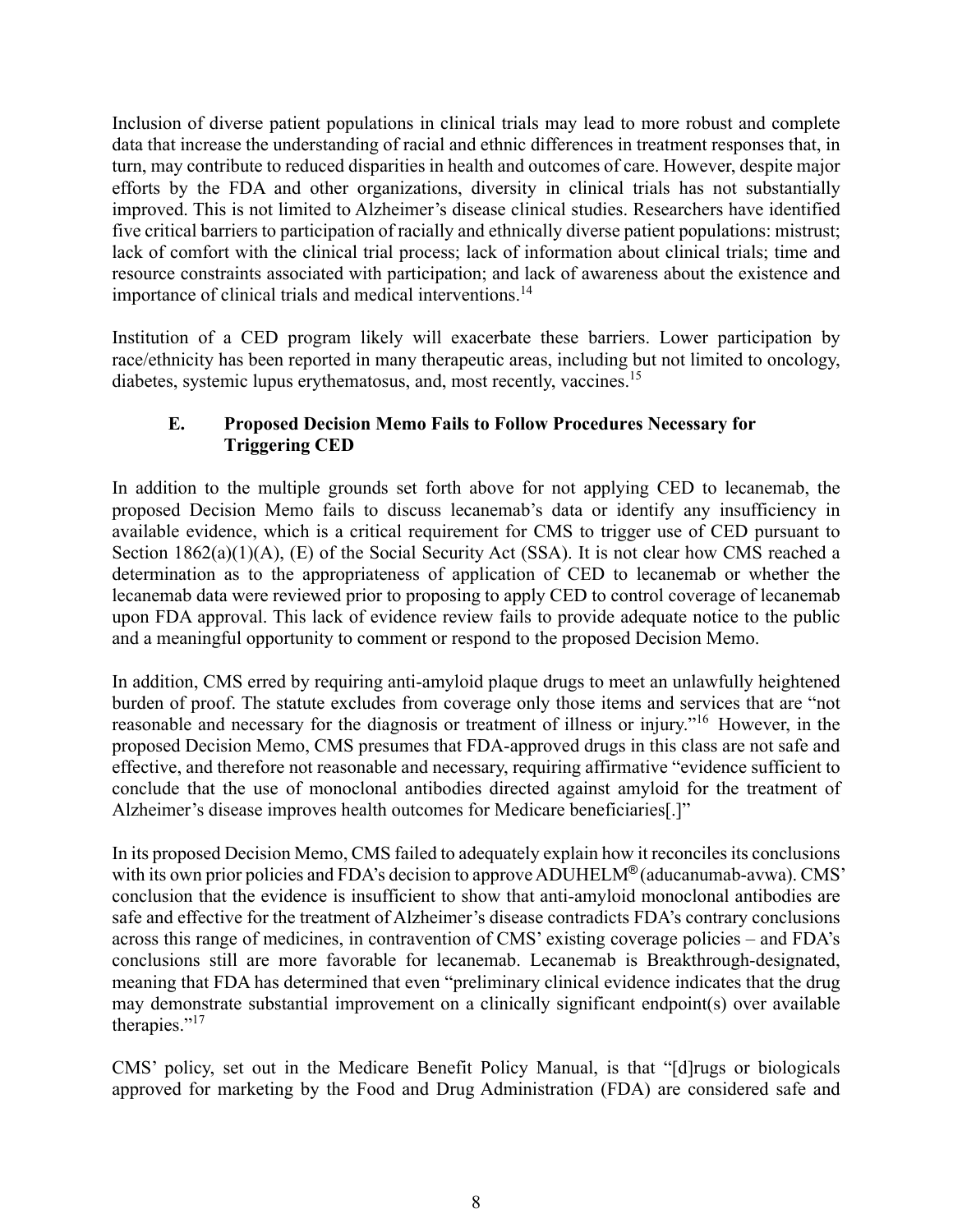Inclusion of diverse patient populations in clinical trials may lead to more robust and complete data that increase the understanding of racial and ethnic differences in treatment responses that, in turn, may contribute to reduced disparities in health and outcomes of care. However, despite major efforts by the FDA and other organizations, diversity in clinical trials has not substantially improved. This is not limited to Alzheimer's disease clinical studies. Researchers have identified five critical barriers to participation of racially and ethnically diverse patient populations: mistrust; lack of comfort with the clinical trial process; lack of information about clinical trials; time and resource constraints associated with participation; and lack of awareness about the existence and importance of clinical trials and medical interventions.<sup>14</sup>

Institution of a CED program likely will exacerbate these barriers. Lower participation by race/ethnicity has been reported in many therapeutic areas, including but not limited to oncology, diabetes, systemic lupus erythematosus, and, most recently, vaccines.<sup>15</sup>

# **E. Proposed Decision Memo Fails to Follow Procedures Necessary for Triggering CED**

In addition to the multiple grounds set forth above for not applying CED to lecanemab, the proposed Decision Memo fails to discuss lecanemab's data or identify any insufficiency in available evidence, which is a critical requirement for CMS to trigger use of CED pursuant to Section 1862(a)(1)(A), (E) of the Social Security Act (SSA). It is not clear how CMS reached a determination as to the appropriateness of application of CED to lecanemab or whether the lecanemab data were reviewed prior to proposing to apply CED to control coverage of lecanemab upon FDA approval. This lack of evidence review fails to provide adequate notice to the public and a meaningful opportunity to comment or respond to the proposed Decision Memo.

In addition, CMS erred by requiring anti-amyloid plaque drugs to meet an unlawfully heightened burden of proof. The statute excludes from coverage only those items and services that are "not reasonable and necessary for the diagnosis or treatment of illness or injury."16 However, in the proposed Decision Memo, CMS presumes that FDA-approved drugs in this class are not safe and effective, and therefore not reasonable and necessary, requiring affirmative "evidence sufficient to conclude that the use of monoclonal antibodies directed against amyloid for the treatment of Alzheimer's disease improves health outcomes for Medicare beneficiaries[.]"

In its proposed Decision Memo, CMS failed to adequately explain how it reconciles its conclusions with its own prior policies and FDA's decision to approve ADUHELM<sup>®</sup> (aducanumab-avwa). CMS' conclusion that the evidence is insufficient to show that anti-amyloid monoclonal antibodies are safe and effective for the treatment of Alzheimer's disease contradicts FDA's contrary conclusions across this range of medicines, in contravention of CMS' existing coverage policies – and FDA's conclusions still are more favorable for lecanemab. Lecanemab is Breakthrough-designated, meaning that FDA has determined that even "preliminary clinical evidence indicates that the drug may demonstrate substantial improvement on a clinically significant endpoint(s) over available therapies."<sup>17</sup>

CMS' policy, set out in the Medicare Benefit Policy Manual, is that "[d]rugs or biologicals approved for marketing by the Food and Drug Administration (FDA) are considered safe and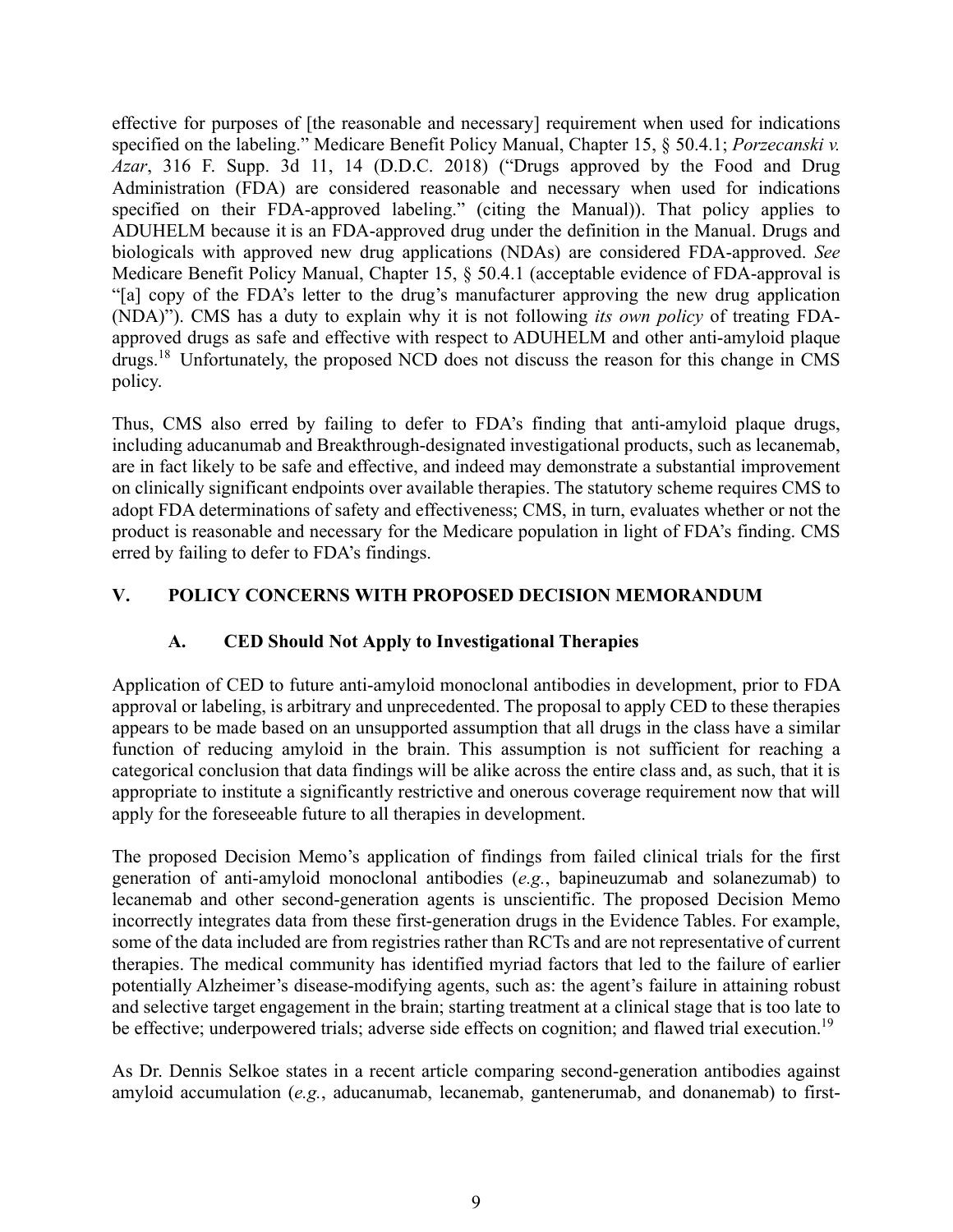effective for purposes of [the reasonable and necessary] requirement when used for indications specified on the labeling." Medicare Benefit Policy Manual, Chapter 15, § 50.4.1; *Porzecanski v. Azar*, 316 F. Supp. 3d 11, 14 (D.D.C. 2018) ("Drugs approved by the Food and Drug Administration (FDA) are considered reasonable and necessary when used for indications specified on their FDA-approved labeling." (citing the Manual)). That policy applies to ADUHELM because it is an FDA-approved drug under the definition in the Manual. Drugs and biologicals with approved new drug applications (NDAs) are considered FDA-approved. *See*  Medicare Benefit Policy Manual, Chapter 15, § 50.4.1 (acceptable evidence of FDA-approval is "[a] copy of the FDA's letter to the drug's manufacturer approving the new drug application (NDA)"). CMS has a duty to explain why it is not following *its own policy* of treating FDAapproved drugs as safe and effective with respect to ADUHELM and other anti-amyloid plaque drugs.18 Unfortunately, the proposed NCD does not discuss the reason for this change in CMS policy.

Thus, CMS also erred by failing to defer to FDA's finding that anti-amyloid plaque drugs, including aducanumab and Breakthrough-designated investigational products, such as lecanemab, are in fact likely to be safe and effective, and indeed may demonstrate a substantial improvement on clinically significant endpoints over available therapies. The statutory scheme requires CMS to adopt FDA determinations of safety and effectiveness; CMS, in turn, evaluates whether or not the product is reasonable and necessary for the Medicare population in light of FDA's finding. CMS erred by failing to defer to FDA's findings.

# **V. POLICY CONCERNS WITH PROPOSED DECISION MEMORANDUM**

# **A. CED Should Not Apply to Investigational Therapies**

Application of CED to future anti-amyloid monoclonal antibodies in development, prior to FDA approval or labeling, is arbitrary and unprecedented. The proposal to apply CED to these therapies appears to be made based on an unsupported assumption that all drugs in the class have a similar function of reducing amyloid in the brain. This assumption is not sufficient for reaching a categorical conclusion that data findings will be alike across the entire class and, as such, that it is appropriate to institute a significantly restrictive and onerous coverage requirement now that will apply for the foreseeable future to all therapies in development.

The proposed Decision Memo's application of findings from failed clinical trials for the first generation of anti-amyloid monoclonal antibodies (*e.g.*, bapineuzumab and solanezumab) to lecanemab and other second-generation agents is unscientific. The proposed Decision Memo incorrectly integrates data from these first-generation drugs in the Evidence Tables. For example, some of the data included are from registries rather than RCTs and are not representative of current therapies. The medical community has identified myriad factors that led to the failure of earlier potentially Alzheimer's disease-modifying agents, such as: the agent's failure in attaining robust and selective target engagement in the brain; starting treatment at a clinical stage that is too late to be effective; underpowered trials; adverse side effects on cognition; and flawed trial execution.<sup>19</sup>

As Dr. Dennis Selkoe states in a recent article comparing second-generation antibodies against amyloid accumulation (*e.g.*, aducanumab, lecanemab, gantenerumab, and donanemab) to first-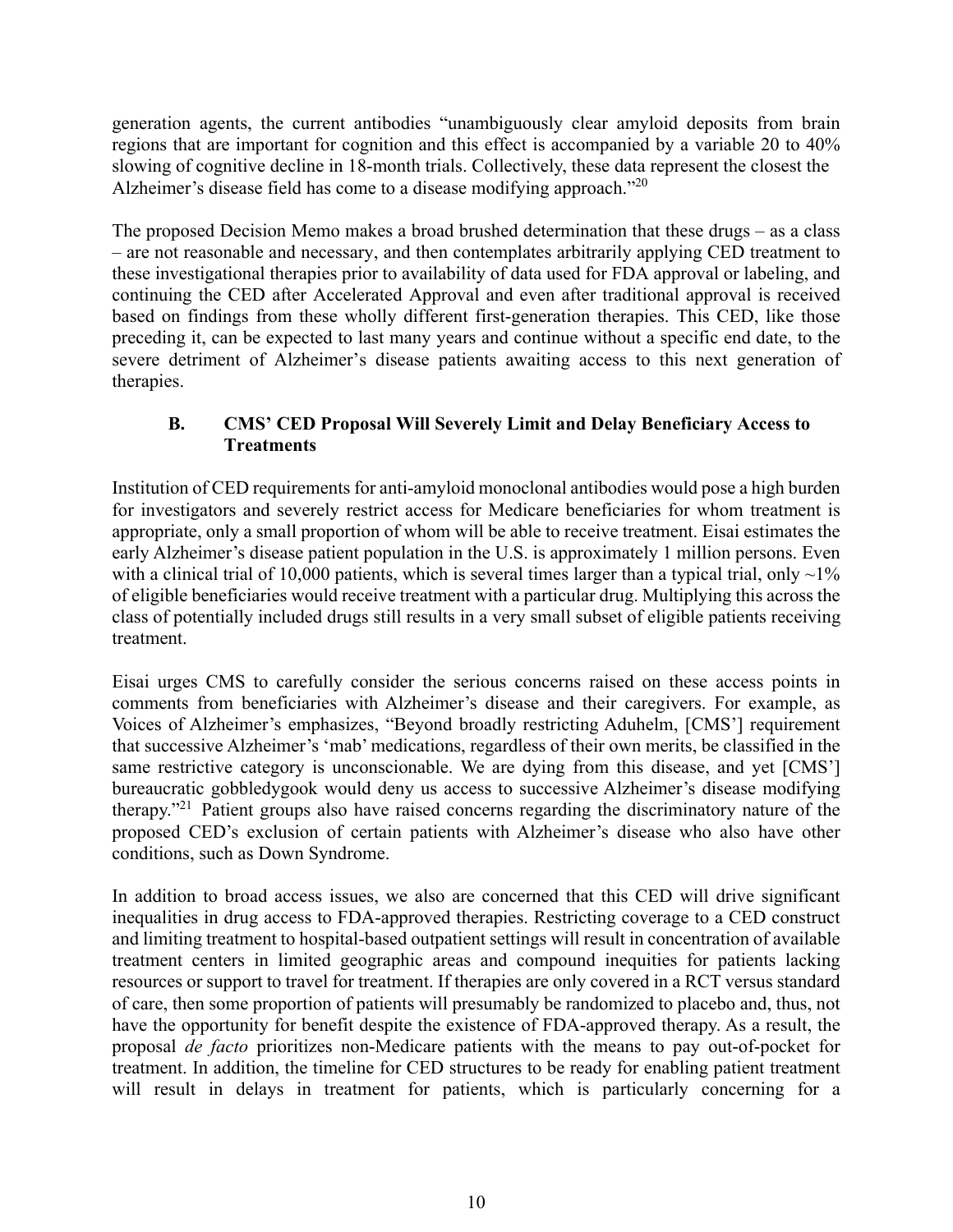generation agents, the current antibodies "unambiguously clear amyloid deposits from brain regions that are important for cognition and this effect is accompanied by a variable 20 to 40% slowing of cognitive decline in 18-month trials. Collectively, these data represent the closest the Alzheimer's disease field has come to a disease modifying approach."<sup>20</sup>

The proposed Decision Memo makes a broad brushed determination that these drugs – as a class – are not reasonable and necessary, and then contemplates arbitrarily applying CED treatment to these investigational therapies prior to availability of data used for FDA approval or labeling, and continuing the CED after Accelerated Approval and even after traditional approval is received based on findings from these wholly different first-generation therapies. This CED, like those preceding it, can be expected to last many years and continue without a specific end date, to the severe detriment of Alzheimer's disease patients awaiting access to this next generation of therapies.

# **B. CMS' CED Proposal Will Severely Limit and Delay Beneficiary Access to Treatments**

Institution of CED requirements for anti-amyloid monoclonal antibodies would pose a high burden for investigators and severely restrict access for Medicare beneficiaries for whom treatment is appropriate, only a small proportion of whom will be able to receive treatment. Eisai estimates the early Alzheimer's disease patient population in the U.S. is approximately 1 million persons. Even with a clinical trial of 10,000 patients, which is several times larger than a typical trial, only  $\sim$ 1% of eligible beneficiaries would receive treatment with a particular drug. Multiplying this across the class of potentially included drugs still results in a very small subset of eligible patients receiving treatment.

Eisai urges CMS to carefully consider the serious concerns raised on these access points in comments from beneficiaries with Alzheimer's disease and their caregivers. For example, as Voices of Alzheimer's emphasizes, "Beyond broadly restricting Aduhelm, [CMS'] requirement that successive Alzheimer's 'mab' medications, regardless of their own merits, be classified in the same restrictive category is unconscionable. We are dying from this disease, and yet [CMS'] bureaucratic gobbledygook would deny us access to successive Alzheimer's disease modifying therapy."21 Patient groups also have raised concerns regarding the discriminatory nature of the proposed CED's exclusion of certain patients with Alzheimer's disease who also have other conditions, such as Down Syndrome.

In addition to broad access issues, we also are concerned that this CED will drive significant inequalities in drug access to FDA-approved therapies. Restricting coverage to a CED construct and limiting treatment to hospital-based outpatient settings will result in concentration of available treatment centers in limited geographic areas and compound inequities for patients lacking resources or support to travel for treatment. If therapies are only covered in a RCT versus standard of care, then some proportion of patients will presumably be randomized to placebo and, thus, not have the opportunity for benefit despite the existence of FDA-approved therapy. As a result, the proposal *de facto* prioritizes non-Medicare patients with the means to pay out-of-pocket for treatment. In addition, the timeline for CED structures to be ready for enabling patient treatment will result in delays in treatment for patients, which is particularly concerning for a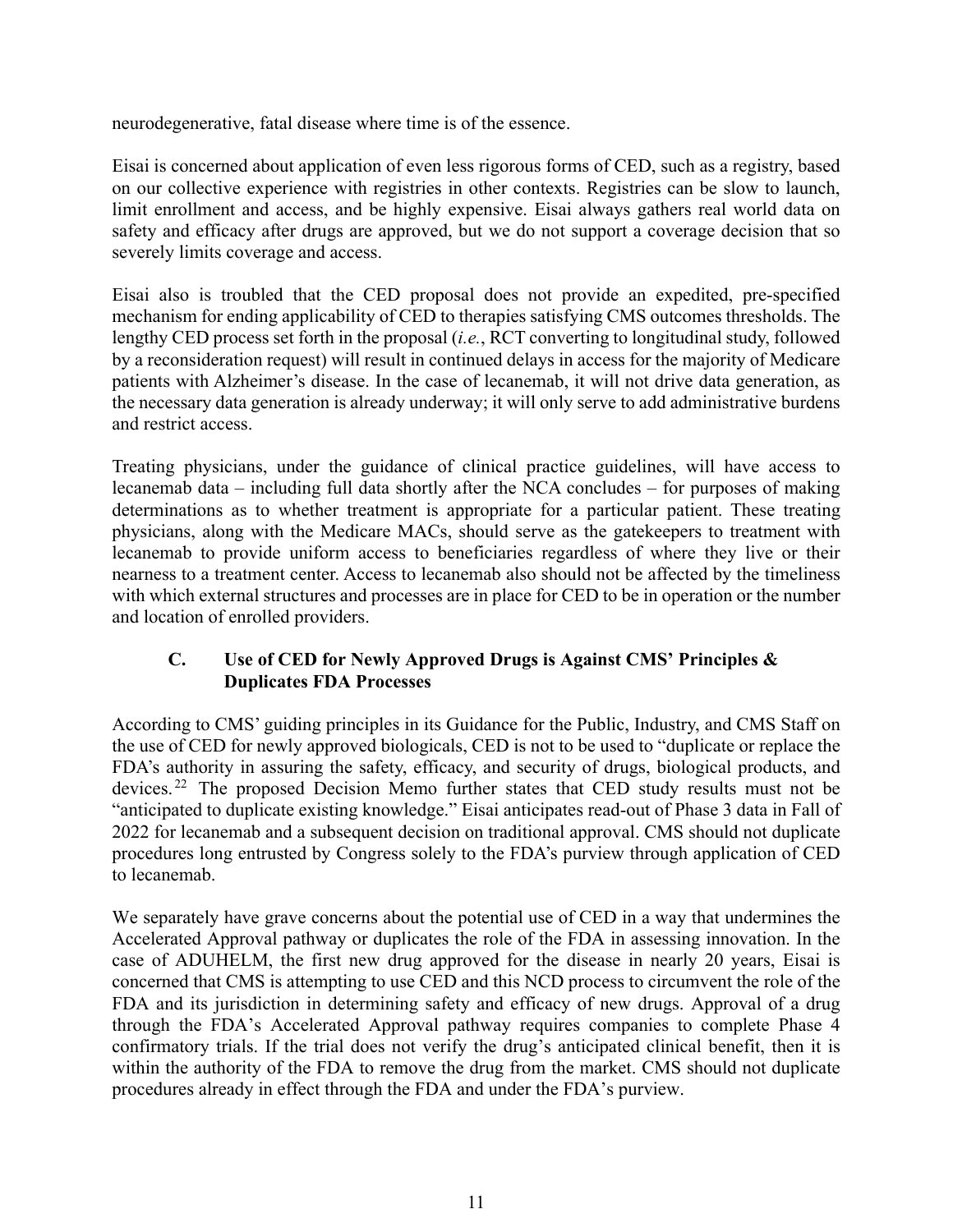neurodegenerative, fatal disease where time is of the essence.

Eisai is concerned about application of even less rigorous forms of CED, such as a registry, based on our collective experience with registries in other contexts. Registries can be slow to launch, limit enrollment and access, and be highly expensive. Eisai always gathers real world data on safety and efficacy after drugs are approved, but we do not support a coverage decision that so severely limits coverage and access.

Eisai also is troubled that the CED proposal does not provide an expedited, pre-specified mechanism for ending applicability of CED to therapies satisfying CMS outcomes thresholds. The lengthy CED process set forth in the proposal (*i.e.*, RCT converting to longitudinal study, followed by a reconsideration request) will result in continued delays in access for the majority of Medicare patients with Alzheimer's disease. In the case of lecanemab, it will not drive data generation, as the necessary data generation is already underway; it will only serve to add administrative burdens and restrict access.

Treating physicians, under the guidance of clinical practice guidelines, will have access to lecanemab data – including full data shortly after the NCA concludes – for purposes of making determinations as to whether treatment is appropriate for a particular patient. These treating physicians, along with the Medicare MACs, should serve as the gatekeepers to treatment with lecanemab to provide uniform access to beneficiaries regardless of where they live or their nearness to a treatment center. Access to lecanemab also should not be affected by the timeliness with which external structures and processes are in place for CED to be in operation or the number and location of enrolled providers.

# **C. Use of CED for Newly Approved Drugs is Against CMS' Principles & Duplicates FDA Processes**

According to CMS' guiding principles in its Guidance for the Public, Industry, and CMS Staff on the use of CED for newly approved biologicals, CED is not to be used to "duplicate or replace the FDA's authority in assuring the safety, efficacy, and security of drugs, biological products, and devices. 22 The proposed Decision Memo further states that CED study results must not be "anticipated to duplicate existing knowledge." Eisai anticipates read-out of Phase 3 data in Fall of 2022 for lecanemab and a subsequent decision on traditional approval. CMS should not duplicate procedures long entrusted by Congress solely to the FDA's purview through application of CED to lecanemab.

We separately have grave concerns about the potential use of CED in a way that undermines the Accelerated Approval pathway or duplicates the role of the FDA in assessing innovation. In the case of ADUHELM, the first new drug approved for the disease in nearly 20 years, Eisai is concerned that CMS is attempting to use CED and this NCD process to circumvent the role of the FDA and its jurisdiction in determining safety and efficacy of new drugs. Approval of a drug through the FDA's Accelerated Approval pathway requires companies to complete Phase 4 confirmatory trials. If the trial does not verify the drug's anticipated clinical benefit, then it is within the authority of the FDA to remove the drug from the market. CMS should not duplicate procedures already in effect through the FDA and under the FDA's purview.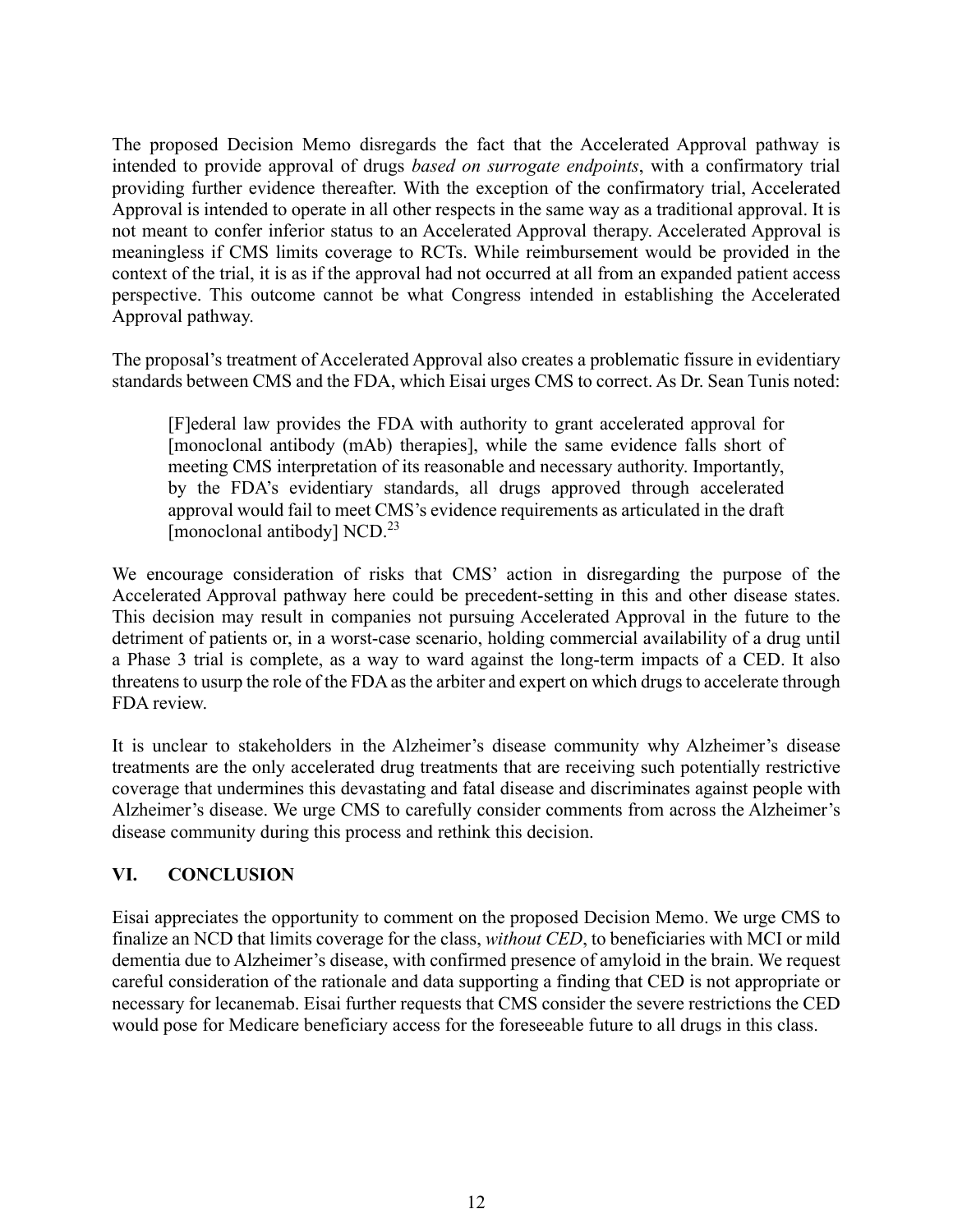The proposed Decision Memo disregards the fact that the Accelerated Approval pathway is intended to provide approval of drugs *based on surrogate endpoints*, with a confirmatory trial providing further evidence thereafter. With the exception of the confirmatory trial, Accelerated Approval is intended to operate in all other respects in the same way as a traditional approval. It is not meant to confer inferior status to an Accelerated Approval therapy. Accelerated Approval is meaningless if CMS limits coverage to RCTs. While reimbursement would be provided in the context of the trial, it is as if the approval had not occurred at all from an expanded patient access perspective. This outcome cannot be what Congress intended in establishing the Accelerated Approval pathway.

The proposal's treatment of Accelerated Approval also creates a problematic fissure in evidentiary standards between CMS and the FDA, which Eisai urges CMS to correct. As Dr. Sean Tunis noted:

[F]ederal law provides the FDA with authority to grant accelerated approval for [monoclonal antibody (mAb) therapies], while the same evidence falls short of meeting CMS interpretation of its reasonable and necessary authority. Importantly, by the FDA's evidentiary standards, all drugs approved through accelerated approval would fail to meet CMS's evidence requirements as articulated in the draft [monoclonal antibody]  $NCD.<sup>23</sup>$ 

We encourage consideration of risks that CMS' action in disregarding the purpose of the Accelerated Approval pathway here could be precedent-setting in this and other disease states. This decision may result in companies not pursuing Accelerated Approval in the future to the detriment of patients or, in a worst-case scenario, holding commercial availability of a drug until a Phase 3 trial is complete, as a way to ward against the long-term impacts of a CED. It also threatens to usurp the role of the FDA as the arbiter and expert on which drugs to accelerate through FDA review.

It is unclear to stakeholders in the Alzheimer's disease community why Alzheimer's disease treatments are the only accelerated drug treatments that are receiving such potentially restrictive coverage that undermines this devastating and fatal disease and discriminates against people with Alzheimer's disease. We urge CMS to carefully consider comments from across the Alzheimer's disease community during this process and rethink this decision.

# **VI. CONCLUSION**

Eisai appreciates the opportunity to comment on the proposed Decision Memo. We urge CMS to finalize an NCD that limits coverage for the class, *without CED*, to beneficiaries with MCI or mild dementia due to Alzheimer's disease, with confirmed presence of amyloid in the brain. We request careful consideration of the rationale and data supporting a finding that CED is not appropriate or necessary for lecanemab. Eisai further requests that CMS consider the severe restrictions the CED would pose for Medicare beneficiary access for the foreseeable future to all drugs in this class.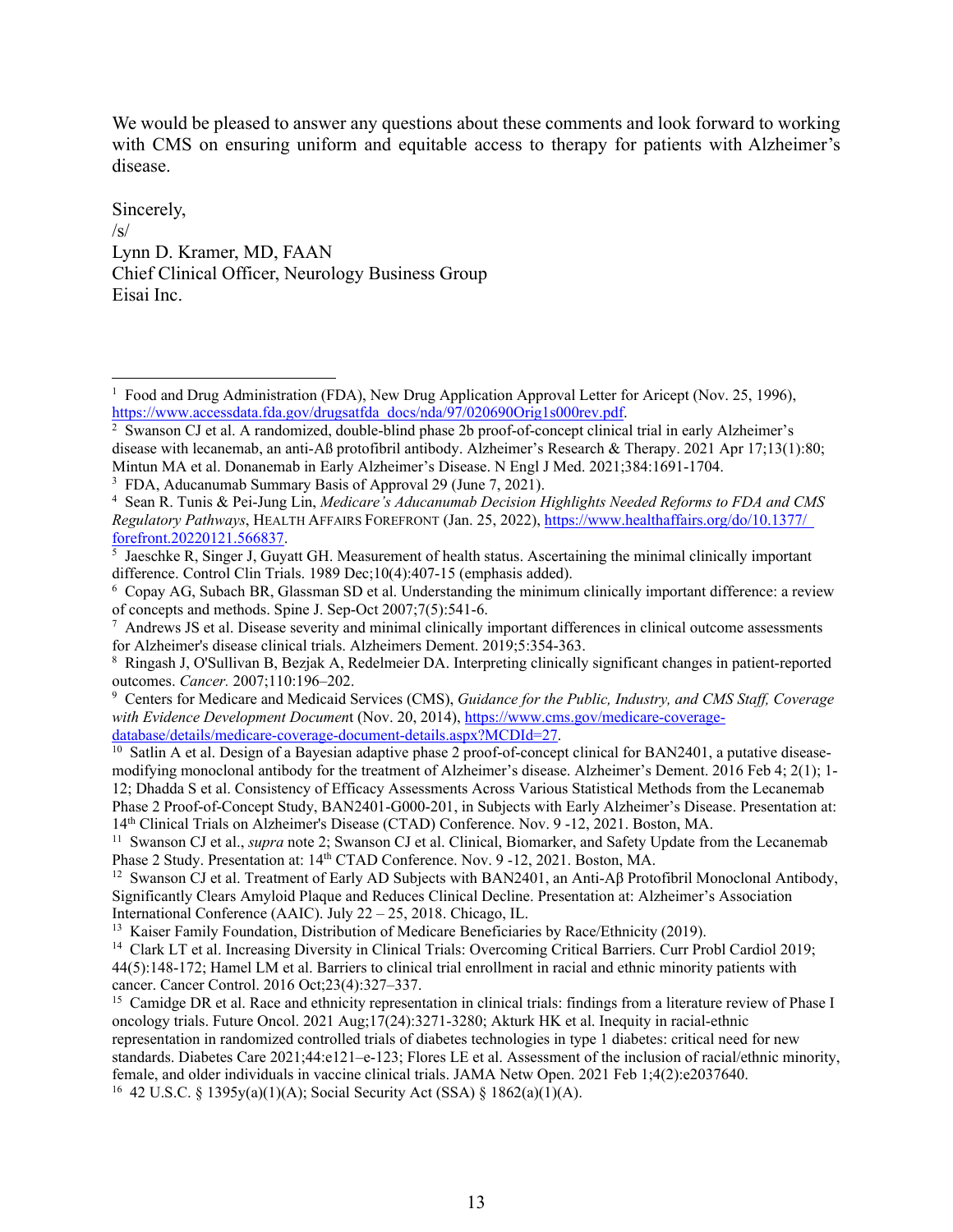We would be pleased to answer any questions about these comments and look forward to working with CMS on ensuring uniform and equitable access to therapy for patients with Alzheimer's disease.

Sincerely,  $/s/$ Lynn D. Kramer, MD, FAAN Chief Clinical Officer, Neurology Business Group Eisai Inc.

<sup>&</sup>lt;sup>1</sup> Food and Drug Administration (FDA), New Drug Application Approval Letter for Aricept (Nov. 25, 1996), https://www.accessdata.fda.gov/drugsatfda\_docs/nda/97/020690Orig1s000rev.pdf.

 $\frac{2}{3}$  Swanson CJ et al. A randomized, double-blind phase 2b proof-of-concept clinical trial in early Alzheimer's disease with lecanemab, an anti-Aß protofibril antibody. Alzheimer's Research & Therapy. 2021 Apr 17;13(1):80; Mintun MA et al. Donanemab in Early Alzheimer's Disease. N Engl J Med. 2021;384:1691-1704.

<sup>&</sup>lt;sup>3</sup> FDA, Aducanumab Summary Basis of Approval 29 (June 7, 2021).

<sup>4</sup> Sean R. Tunis & Pei-Jung Lin, *Medicare's Aducanumab Decision Highlights Needed Reforms to FDA and CMS Regulatory Pathways*, HEALTH AFFAIRS FOREFRONT (Jan. 25, 2022), https://www.healthaffairs.org/do/10.1377/ forefront.20220121.566837.

<sup>&</sup>lt;sup>5</sup> Jaeschke R, Singer J, Guyatt GH. Measurement of health status. Ascertaining the minimal clinically important difference. Control Clin Trials. 1989 Dec;10(4):407-15 (emphasis added).

<sup>6</sup> Copay AG, Subach BR, Glassman SD et al. Understanding the minimum clinically important difference: a review of concepts and methods. Spine J. Sep-Oct 2007;7(5):541-6.

 $^7$  Andrews JS et al. Disease severity and minimal clinically important differences in clinical outcome assessments for Alzheimer's disease clinical trials. Alzheimers Dement. 2019;5:354-363. 8

Ringash J, O'Sullivan B, Bezjak A, Redelmeier DA. Interpreting clinically significant changes in patient-reported outcomes. *Cancer.* 2007;110:196–202.

<sup>9</sup> Centers for Medicare and Medicaid Services (CMS), *Guidance for the Public, Industry, and CMS Staff, Coverage with Evidence Development Document* (Nov. 20, 2014), https://www.cms.gov/medicare-coverage-<br>database/details/medicare-coverage-document-details.aspx?MCDId=27.

<sup>&</sup>lt;sup>10</sup> Satlin A et al. Design of a Bayesian adaptive phase 2 proof-of-concept clinical for BAN2401, a putative diseasemodifying monoclonal antibody for the treatment of Alzheimer's disease. Alzheimer's Dement. 2016 Feb 4; 2(1); 1- 12; Dhadda S et al. Consistency of Efficacy Assessments Across Various Statistical Methods from the Lecanemab Phase 2 Proof-of-Concept Study, BAN2401-G000-201, in Subjects with Early Alzheimer's Disease. Presentation at:<br>14<sup>th</sup> Clinical Trials on Alzheimer's Disease (CTAD) Conference. Nov. 9 -12, 2021. Boston, MA.

<sup>&</sup>lt;sup>11</sup> Swanson CJ et al., *supra* note 2; Swanson CJ et al. Clinical, Biomarker, and Safety Update from the Lecanemab Phase 2 Study. Presentation at: 14<sup>th</sup> CTAD Conference. Nov. 9 -12, 2021. Boston, MA.<br><sup>12</sup> Swanson CJ et al. Treatment of Early AD Subjects with BAN2401, an Anti-Aβ Protofibril Monoclonal Antibody,

Significantly Clears Amyloid Plaque and Reduces Clinical Decline. Presentation at: Alzheimer's Association International Conference (AAIC). July 22 – 25, 2018. Chicago, IL.<br><sup>13</sup> Kaiser Family Foundation, Distribution of Medicare Beneficiaries by Race/Ethnicity (2019).<br><sup>14</sup> Clark LT et al. Increasing Diversity in Clinical Trials

<sup>44(5):148-172;</sup> Hamel LM et al. Barriers to clinical trial enrollment in racial and ethnic minority patients with cancer. Cancer Control. 2016 Oct;23(4):327–337.

<sup>&</sup>lt;sup>15</sup> Camidge DR et al. Race and ethnicity representation in clinical trials: findings from a literature review of Phase I oncology trials. Future Oncol. 2021 Aug;17(24):3271-3280; Akturk HK et al. Inequity in racial-ethnic representation in randomized controlled trials of diabetes technologies in type 1 diabetes: critical need for new standards. Diabetes Care 2021;44:e121–e-123; Flores LE et al. Assessment of the inclusion of racial/ethnic minority, female, and older individuals in vaccine clinical trials. JAMA Netw Open. 2021 Feb 1;4(2):e2037640. <sup>16</sup> 42 U.S.C. § 1395y(a)(1)(A); Social Security Act (SSA) § 1862(a)(1)(A).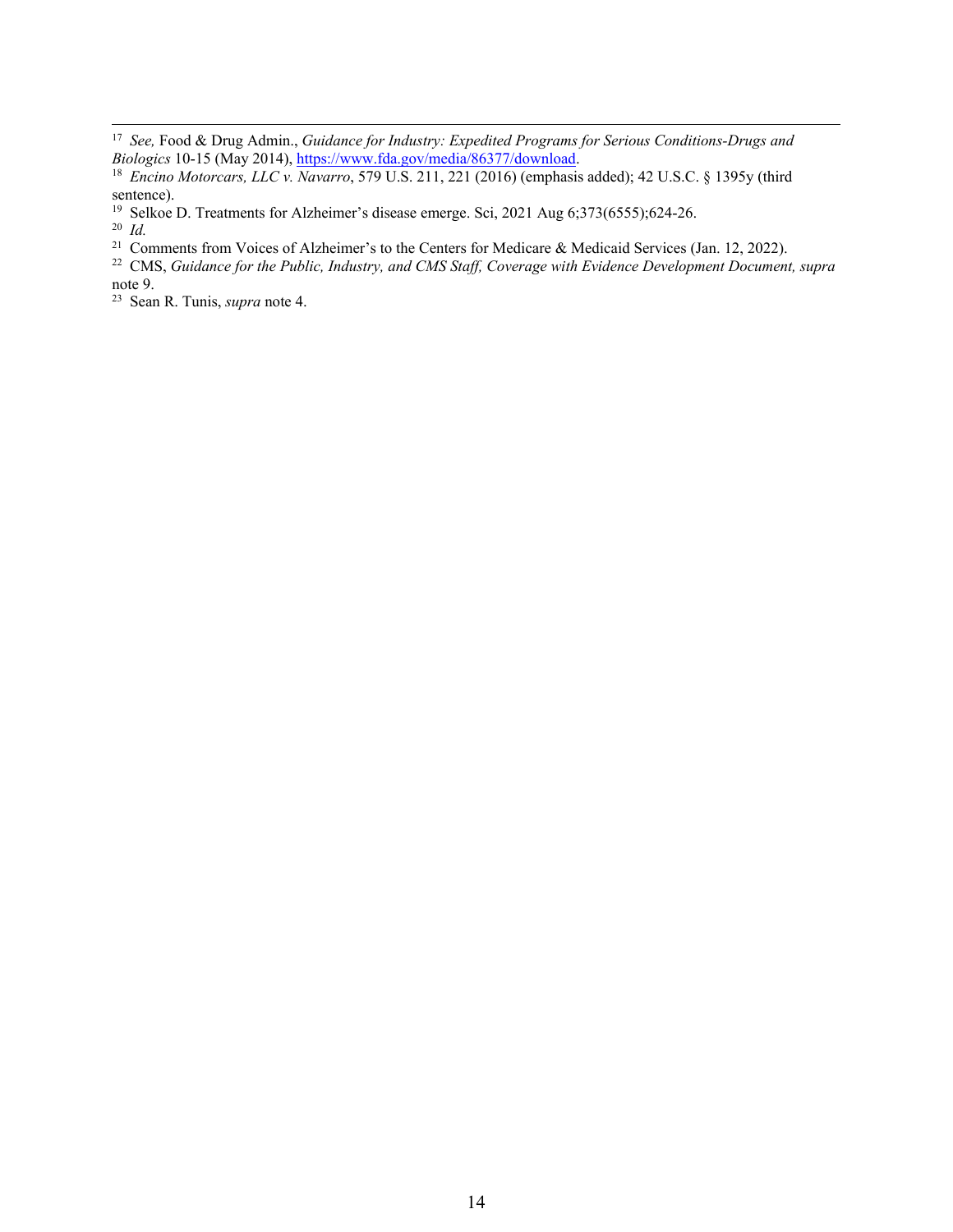<sup>19</sup> Selkoe D. Treatments for Alzheimer's disease emerge. Sci, 2021 Aug 6;373(6555);624-26.<br><sup>20</sup> *Id.* Comments from Voices of Alzheimer's to the Centers for Medicare & Medicaid Services (Jan. 12, 2022).

<sup>22</sup> CMS, Guidance for the Public, Industry, and CMS Staff, Coverage with Evidence Development Document, supra note 9.

23 Sean R. Tunis, *supra* note 4.

<sup>17</sup> *See,* Food & Drug Admin., *Guidance for Industry: Expedited Programs for Serious Conditions-Drugs and Biologics* 10-15 (May 2014), https://www.fda.gov/media/86377/download.<br><sup>18</sup> *Encino Motorcars, LLC v. Navarro*, 579 U.S. 211, 221 (2016) (emphasis added); 42 U.S.C. § 1395y (third

sentence).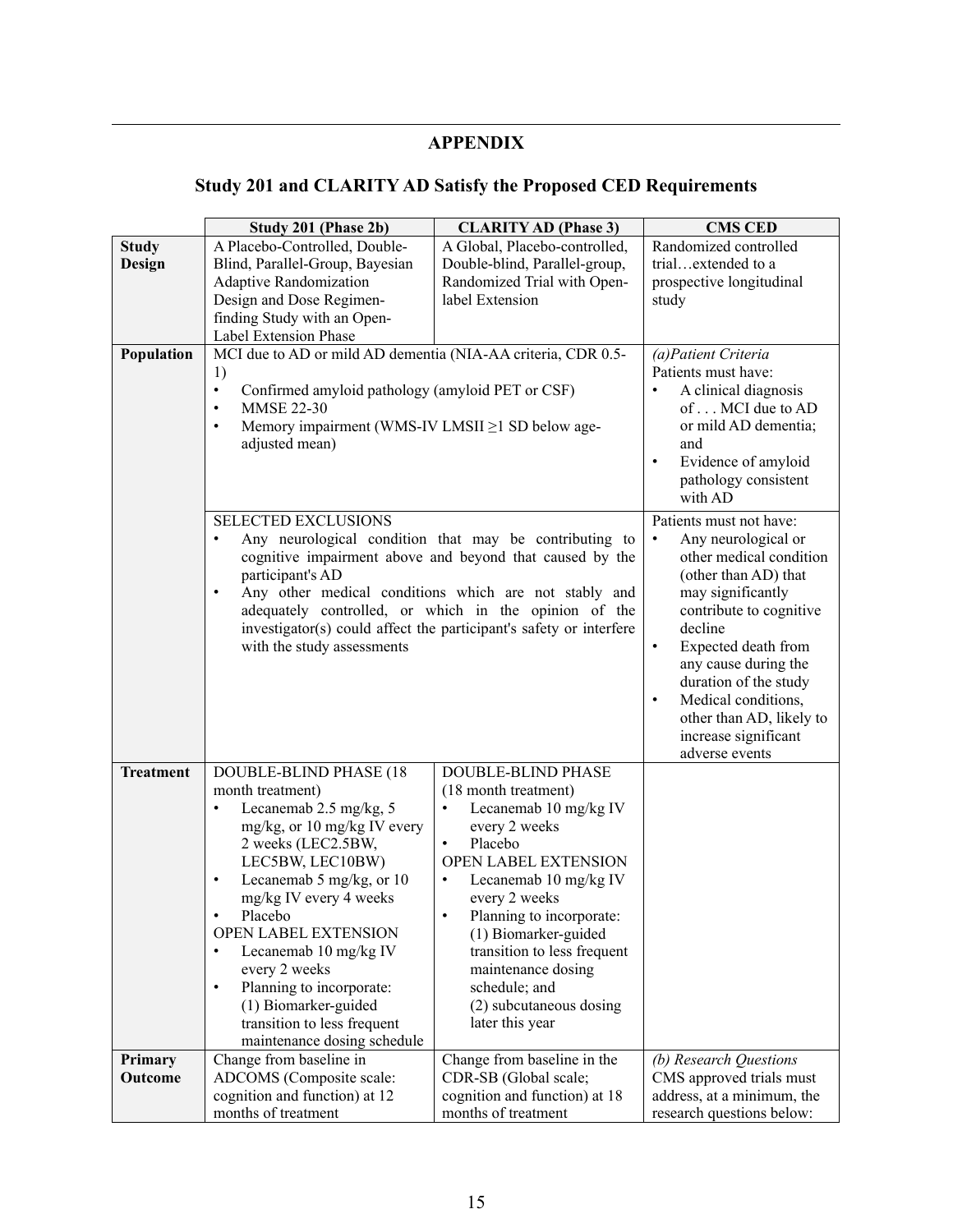# **APPENDIX**

# **Study 201 and CLARITY AD Satisfy the Proposed CED Requirements**

|                  | Study 201 (Phase 2b)                                                | <b>CLARITY AD (Phase 3)</b>                                                                                                 | <b>CMS CED</b>                     |
|------------------|---------------------------------------------------------------------|-----------------------------------------------------------------------------------------------------------------------------|------------------------------------|
| <b>Study</b>     | A Placebo-Controlled, Double-                                       | A Global, Placebo-controlled,                                                                                               | Randomized controlled              |
| <b>Design</b>    | Blind, Parallel-Group, Bayesian                                     | Double-blind, Parallel-group,                                                                                               | trialextended to a                 |
|                  | <b>Adaptive Randomization</b>                                       | Randomized Trial with Open-                                                                                                 | prospective longitudinal           |
|                  | Design and Dose Regimen-                                            | label Extension                                                                                                             | study                              |
|                  | finding Study with an Open-                                         |                                                                                                                             |                                    |
|                  | Label Extension Phase                                               |                                                                                                                             |                                    |
| Population       | MCI due to AD or mild AD dementia (NIA-AA criteria, CDR 0.5-        |                                                                                                                             | (a) Patient Criteria               |
|                  | 1)                                                                  | Patients must have:                                                                                                         |                                    |
|                  | $\bullet$<br>Confirmed amyloid pathology (amyloid PET or CSF)       | A clinical diagnosis<br>$\bullet$                                                                                           |                                    |
|                  | <b>MMSE 22-30</b><br>$\bullet$                                      | of MCI due to AD                                                                                                            |                                    |
|                  | Memory impairment (WMS-IV LMSII ≥1 SD below age-<br>$\bullet$       | or mild AD dementia;                                                                                                        |                                    |
|                  | adjusted mean)                                                      | and                                                                                                                         |                                    |
|                  |                                                                     | Evidence of amyloid<br>$\bullet$                                                                                            |                                    |
|                  |                                                                     |                                                                                                                             | pathology consistent               |
|                  |                                                                     |                                                                                                                             | with AD                            |
|                  | <b>SELECTED EXCLUSIONS</b>                                          | Patients must not have:                                                                                                     |                                    |
|                  | Any neurological condition that may be contributing to<br>$\bullet$ | Any neurological or<br>$\bullet$                                                                                            |                                    |
|                  | cognitive impairment above and beyond that caused by the            | other medical condition                                                                                                     |                                    |
|                  | participant's AD                                                    | (other than AD) that                                                                                                        |                                    |
|                  | Any other medical conditions which are not stably and<br>$\bullet$  | may significantly                                                                                                           |                                    |
|                  |                                                                     | adequately controlled, or which in the opinion of the<br>investigator(s) could affect the participant's safety or interfere | contribute to cognitive<br>decline |
|                  | with the study assessments                                          |                                                                                                                             | Expected death from<br>$\bullet$   |
|                  |                                                                     |                                                                                                                             | any cause during the               |
|                  |                                                                     |                                                                                                                             | duration of the study              |
|                  |                                                                     |                                                                                                                             | Medical conditions,<br>$\bullet$   |
|                  |                                                                     |                                                                                                                             | other than AD, likely to           |
|                  |                                                                     |                                                                                                                             | increase significant               |
|                  |                                                                     |                                                                                                                             | adverse events                     |
| <b>Treatment</b> | <b>DOUBLE-BLIND PHASE (18</b>                                       | DOUBLE-BLIND PHASE                                                                                                          |                                    |
|                  | month treatment)                                                    | (18 month treatment)                                                                                                        |                                    |
|                  | Lecanemab 2.5 mg/kg, 5                                              | Lecanemab 10 mg/kg IV<br>$\bullet$                                                                                          |                                    |
|                  | mg/kg, or 10 mg/kg IV every                                         | every 2 weeks                                                                                                               |                                    |
|                  | 2 weeks (LEC2.5BW,                                                  | Placebo<br>$\bullet$                                                                                                        |                                    |
|                  | LEC5BW, LEC10BW)                                                    | OPEN LABEL EXTENSION                                                                                                        |                                    |
|                  | Lecanemab 5 mg/kg, or 10<br>$\bullet$                               | Lecanemab 10 mg/kg IV                                                                                                       |                                    |
|                  | mg/kg IV every 4 weeks                                              | every 2 weeks                                                                                                               |                                    |
|                  | Placebo                                                             | Planning to incorporate:                                                                                                    |                                    |
|                  | OPEN LABEL EXTENSION                                                | (1) Biomarker-guided                                                                                                        |                                    |
|                  | Lecanemab 10 mg/kg IV<br>$\bullet$<br>every 2 weeks                 | transition to less frequent<br>maintenance dosing                                                                           |                                    |
|                  | Planning to incorporate:<br>$\bullet$                               | schedule; and                                                                                                               |                                    |
|                  | (1) Biomarker-guided                                                | (2) subcutaneous dosing                                                                                                     |                                    |
|                  | transition to less frequent                                         | later this year                                                                                                             |                                    |
|                  | maintenance dosing schedule                                         |                                                                                                                             |                                    |
| Primary          | Change from baseline in                                             | Change from baseline in the                                                                                                 | (b) Research Questions             |
| Outcome          | ADCOMS (Composite scale:                                            | CDR-SB (Global scale;                                                                                                       | CMS approved trials must           |
|                  | cognition and function) at 12                                       | cognition and function) at 18                                                                                               | address, at a minimum, the         |
|                  | months of treatment                                                 | months of treatment                                                                                                         | research questions below:          |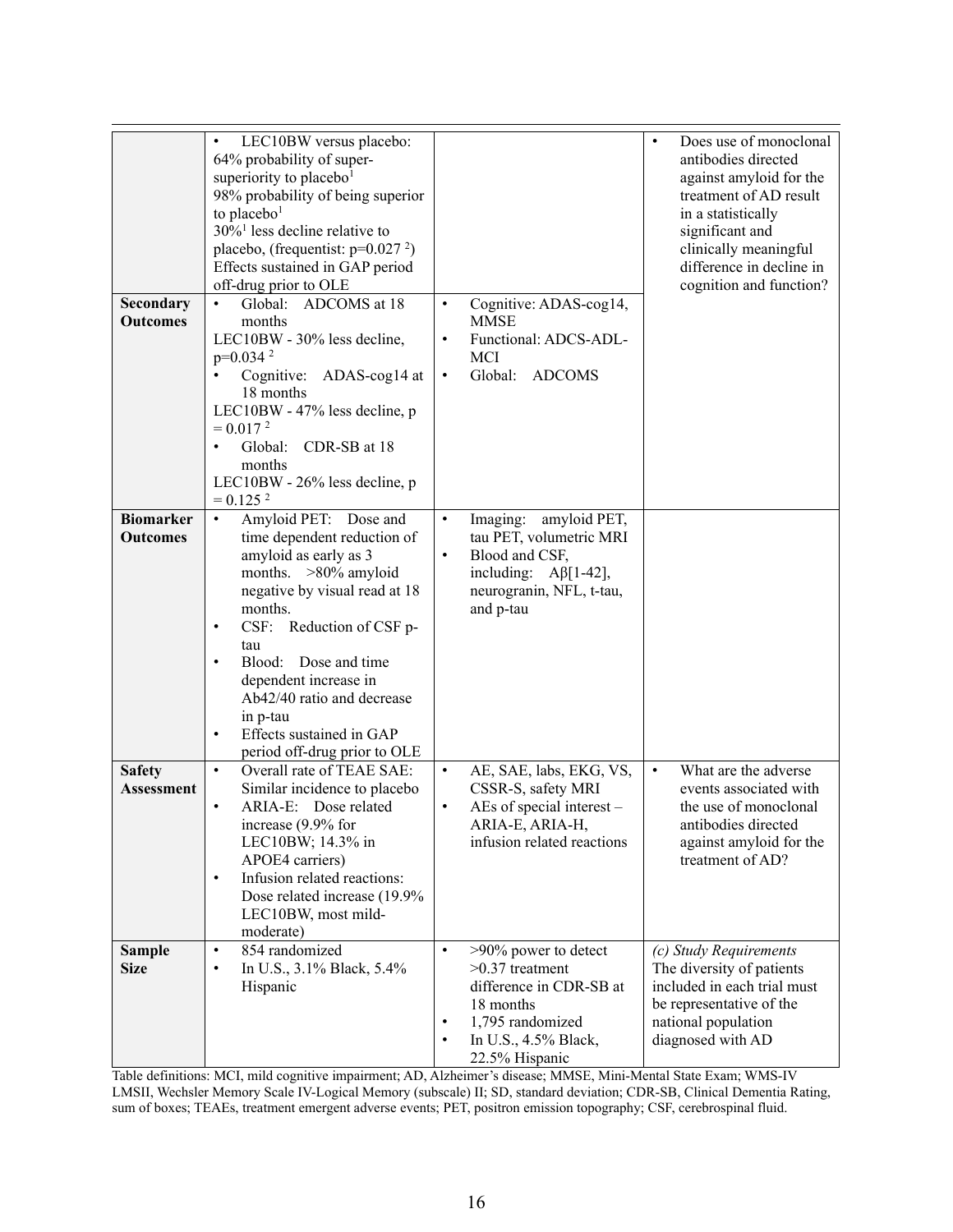| Secondary<br><b>Outcomes</b><br><b>Biomarker</b><br><b>Outcomes</b> | LEC10BW versus placebo:<br>$\bullet$<br>64% probability of super-<br>superiority to placebo <sup>1</sup><br>98% probability of being superior<br>to placebo <sup>1</sup><br>$30\%$ <sup>1</sup> less decline relative to<br>placebo, (frequentist: $p=0.027$ <sup>2</sup> )<br>Effects sustained in GAP period<br>off-drug prior to OLE<br>Global:<br>ADCOMS at 18<br>months<br>LEC10BW - 30% less decline,<br>$p=0.0342$<br>Cognitive: ADAS-cog14 at<br>18 months<br>LEC10BW - 47% less decline, p<br>$= 0.0172$<br>Global:<br>CDR-SB at 18<br>$\bullet$<br>months<br>LEC10BW - 26% less decline, p<br>$= 0.125$ <sup>2</sup><br>Amyloid PET: Dose and<br>$\bullet$<br>time dependent reduction of<br>amyloid as early as 3<br>months. >80% amyloid<br>negative by visual read at 18<br>months.<br>CSF: Reduction of CSF p-<br>$\bullet$<br>tau<br>Blood: Dose and time<br>$\bullet$<br>dependent increase in<br>Ab42/40 ratio and decrease | Cognitive: ADAS-cog14,<br>$\bullet$<br><b>MMSE</b><br>Functional: ADCS-ADL-<br>$\bullet$<br>MCI<br>Global:<br><b>ADCOMS</b><br>$\bullet$<br>$\bullet$<br>Imaging: amyloid PET,<br>tau PET, volumetric MRI<br>Blood and CSF,<br>$\bullet$<br>including: $A\beta$ [1-42],<br>neurogranin, NFL, t-tau,<br>and p-tau | Does use of monoclonal<br>$\bullet$<br>antibodies directed<br>against amyloid for the<br>treatment of AD result<br>in a statistically<br>significant and<br>clinically meaningful<br>difference in decline in<br>cognition and function? |
|---------------------------------------------------------------------|----------------------------------------------------------------------------------------------------------------------------------------------------------------------------------------------------------------------------------------------------------------------------------------------------------------------------------------------------------------------------------------------------------------------------------------------------------------------------------------------------------------------------------------------------------------------------------------------------------------------------------------------------------------------------------------------------------------------------------------------------------------------------------------------------------------------------------------------------------------------------------------------------------------------------------------------|------------------------------------------------------------------------------------------------------------------------------------------------------------------------------------------------------------------------------------------------------------------------------------------------------------------|------------------------------------------------------------------------------------------------------------------------------------------------------------------------------------------------------------------------------------------|
|                                                                     | in p-tau<br>Effects sustained in GAP<br>$\bullet$                                                                                                                                                                                                                                                                                                                                                                                                                                                                                                                                                                                                                                                                                                                                                                                                                                                                                            |                                                                                                                                                                                                                                                                                                                  |                                                                                                                                                                                                                                          |
| <b>Safety</b><br>Assessment                                         | period off-drug prior to OLE<br>Overall rate of TEAE SAE:<br>$\bullet$<br>Similar incidence to placebo<br>ARIA-E: Dose related<br>$\bullet$<br>increase (9.9% for<br>LEC10BW; 14.3% in<br>APOE4 carriers)<br>Infusion related reactions:<br>$\bullet$<br>Dose related increase (19.9%<br>LEC10BW, most mild-<br>moderate)                                                                                                                                                                                                                                                                                                                                                                                                                                                                                                                                                                                                                    | AE, SAE, labs, EKG, VS,<br>$\bullet$<br>CSSR-S, safety MRI<br>AEs of special interest -<br>$\bullet$<br>ARIA-E, ARIA-H,<br>infusion related reactions                                                                                                                                                            | What are the adverse<br>$\bullet$<br>events associated with<br>the use of monoclonal<br>antibodies directed<br>against amyloid for the<br>treatment of AD?                                                                               |
| <b>Sample</b><br><b>Size</b>                                        | 854 randomized<br>$\bullet$<br>In U.S., 3.1% Black, 5.4%<br>$\bullet$<br>Hispanic                                                                                                                                                                                                                                                                                                                                                                                                                                                                                                                                                                                                                                                                                                                                                                                                                                                            | >90% power to detect<br>$\bullet$<br>$>0.37$ treatment<br>difference in CDR-SB at<br>18 months<br>1,795 randomized<br>٠<br>In U.S., 4.5% Black,<br>22.5% Hispanic                                                                                                                                                | (c) Study Requirements<br>The diversity of patients<br>included in each trial must<br>be representative of the<br>national population<br>diagnosed with AD                                                                               |

Table definitions: MCI, mild cognitive impairment; AD, Alzheimer's disease; MMSE, Mini-Mental State Exam; WMS-IV LMSII, Wechsler Memory Scale IV-Logical Memory (subscale) II; SD, standard deviation; CDR-SB, Clinical Dementia Rating, sum of boxes; TEAEs, treatment emergent adverse events; PET, positron emission topography; CSF, cerebrospinal fluid.